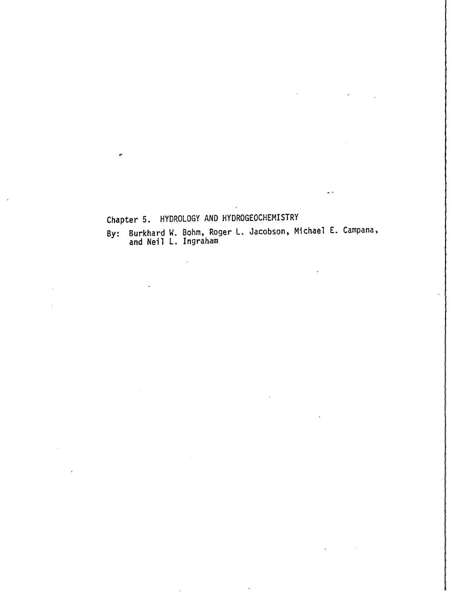### Chapter 5. HYDROLOGY AND HYDROGEOCHEMISTRY

By: Burkhard W. Bohm, Roger L. Jacobson, Michael E. Campana, and Neil L. Ingraham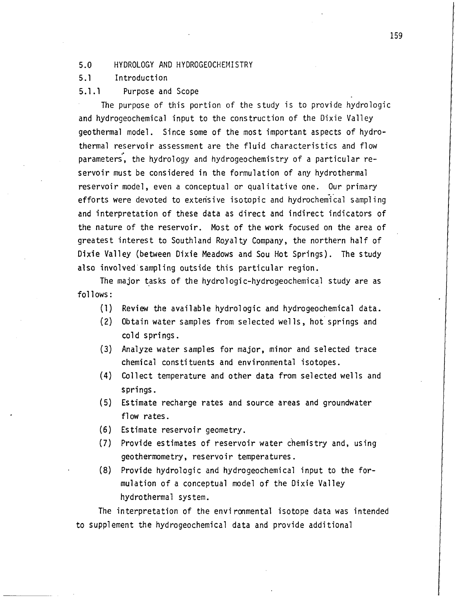#### 5.0 HYDROLOGY AND HYDROGEOCHEMISTRY

#### 5.1 Introduction

#### 5.1.1 Purpose and Scope

The purpose of this portion of the study is to provide hydrologic and hydrogeochemical input to the construction of the Dixie Valley geothermal model. Since some of the most important aspects of hydrothermal reservoir assessment are the fluid characteristics and flow parameters, the hydrology and hydrogeochemistry of a particular reservoir must be considered in the formulation of any hydrothermal reservoir model, even a conceptual or qualitative one. Our primary efforts were devoted to extensive isotopic and hydrochemical sampling and interpretation of these data as direct and indirect indicators of the nature of the reservoir. Most of the work focused on the area of greatest interest to Southland Royalty Company, the northern half of Dixie Valley (between Dixie Meadows and Sou Hot Springs). The study also involved sampling outside this particular region.

The major tasks of the hydrologic-hydrogeochemical study are as follows:

- (1) Review the available hydrologic and hydrogeochemical data.
- (2) Obtain water samples from selected wells, hot springs and cold springs.
- (3) Analyze water samples for major, minor and selected trace chemical constituents and environmental isotopes.
- (4) Collect temperature and other data from selected wells and springs.
- (5) Estimate recharge rates and source areas and groundwater flow rates.
- (6) Estimate reservoir geometry.
- (7) Provide estimates of reservoir water chemistry and, uSing geothermometry, reservoir temperatures.
- (8) Provide hydrologic and hydrogeochemical input to the formulation of a conceptual model of the Dixie Valley hydrothermal system.

The interpretation of the environmental isotope data was intended to supplement the hydrogeochemical data and provide additional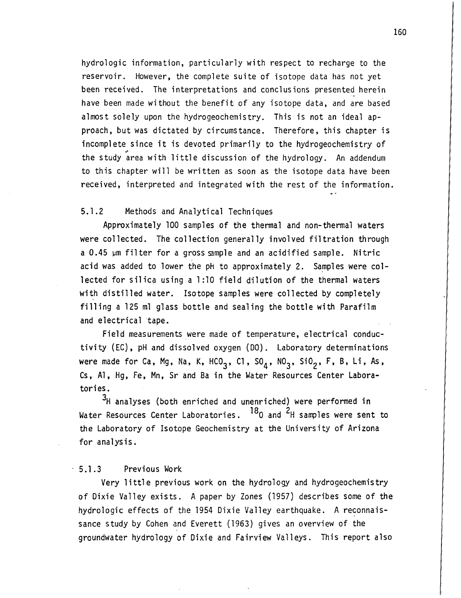hydrologic information, particularly with respect to recharge to the reservoir. However, the complete suite of isotope data has not yet been received. The interpretations and conclusions presented herein have been made without the benefit of any isotope data, and are based almost solely upon the hydrogeochemistry. This is not an ideal approach, but was dictated by circumstance. Therefore, this chapter is incomplete since it is devoted primarily to the hydrogeochemistry of the study area with little discussion of the hydrology. An addendum to this chapter will be written as soon as the isotope data have been received, interpreted and integrated with the rest of the information.

#### 5.1.2 Methods and Analytical Techniques

Approximately 100 samples of the thermal and non-thermal waters were collected. The collection generally involved filtration through a  $0.45$   $\mu$ m filter for a gross sample and an acidified sample. Nitric acid was added to lower the pH to approximately 2. Samples were collected for silica using a 1:10 field dilution of the thermal waters with distilled water. Isotope samples were collected by completely filling a 125 ml glass bottle and sealing the bottle with Parafilm and electrical tape.

Field measurements were made of temperature, electrical conductivity (EC), pH and dissolved oxygen (DO). Laboratory determinations were made for Ca, Mg, Na, K, HCO<sub>3</sub>, Cl, SO<sub>4</sub>, NO<sub>3</sub>, SiO<sub>2</sub>, F, B, Li, As, Cs, Al, Hg, Fe, Mn, Sr and Ba in the Water Resources Center Laboratories.

<sup>3</sup>H analyses (both enriched and unenriched) were performed in Water Resources Center Laboratories.  $^{18}$ O and  $^{2}$ H samples were sent to the Laboratory of Isotope Geochemistry at the University of Arizona for analysis.

#### 5.1.3 Previous Work

Very little previous work on the hydrology and hydrogeochemistry of Dixie Valley exists. A paper by Zones (1957) describes some of the hydrologic effects of the 1954 Dixie Valley earthquake. A reconnaissance study by Cohen and Everett (1963) gives an overview of the groundwater hydrology of Dixie and Fairview Valleys. This report also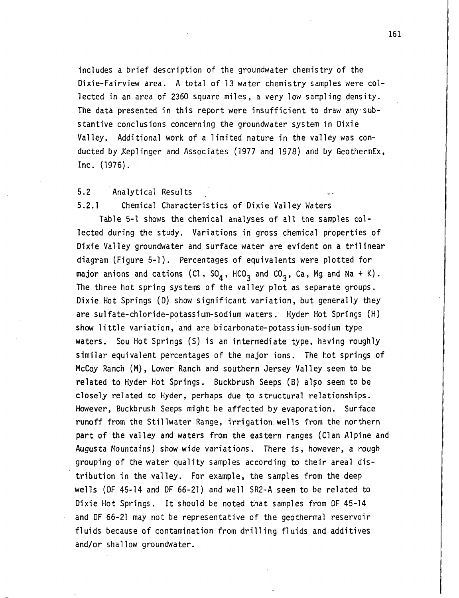includes a brief description of the groundwater chemistry of the Dixie-Fairview area. A total of 13 water chemistry samples were collected in an area of 2360 square miles, a very low sampling density. The data presented in this report were insufficient to draw any substantive conclusions concerning the groundwater system in Dixie Valley. Additional work of a limited nature in the valley was conducted by Xeplinger and Associates (1977 and 1978) and by GeothermEx, Inc. (1976).

#### 5.2 Analytical Results

5.2.1 Chemical Characteristics of Dixie Valley Waters

Table 5-1 shows the chemical analyses of all the samples collected during the study. Variations in gross chemical properties of Dixie Valley groundwater and surface water are evident on a trilinear diagram (Figure 5-1). Percentages of equivalents were plotted for major anions and cations (Cl,  $SO_4$ , HCO<sub>3</sub> and CO<sub>3</sub>, Ca, Mg and Na + K). The three hot spring systems of the valley plot as separate groups. Dixie Hot Springs (D) show significant variation, but generally they are sulfate-chloride-potassium-sodium waters. Hyder Hot Springs (H) show little variation, and are bicarbonate-potassium-sodium type waters. Sou Hot Springs  $(S)$  is an intermediate type, having roughly similar equivalent percentages of the major ions. The hot springs of McCoy Ranch (M), Lower Ranch and southern Jersey Valley seem to be related to Hyder Hot Springs. Buckbrush Seeps (B) also seem to be closely related to Hyder, perhaps due to structural relationships. However, Buckbrush Seeps might be affected by evaporation. Surface runoff from the Stillwater Range, irrigation. wells from the northern part of the valley and waters from the eastern ranges (Clan Alpine and Augusta Mountains) show wide variations. There is, however, a rough grouping of the water quality samples according to their areal distribution in the valley. For example, the samples from the deep wells (OF 45-14 and OF 66-21) and well SR2-A seem to be related to Dixie Hot Springs. It should be noted that samples from OF 45-14 and OF 66-21 may not be representative of the geothermal reservoir fluids because of contamination from drilling fluids and additives and/or shallow groundwater.

161

I I I • I I I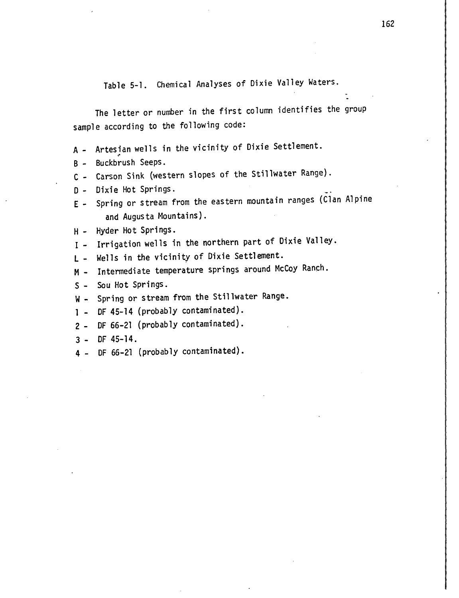Table 5-1. Chemical Analyses of Dixie Valley Waters.

The letter or number in the first column identifies the group sample according to the following code:

- A Artesian wells in the vicinity of Dixie Settlement.
- B Buckbrush Seeps.
- C Carson Sink (western slopes of the Stillwater Range).
- D Dixie Hot Springs.
- E Spring or stream from the eastern mountain ranges (Clan Alpine and Augusta Mountains).
- H Hyder Hot Springs.
- I Irrigation wells in the northern part of Dixie Valley.
- L Wells in the vicinity of Dixie Settlement.
- M Intermediate temperature springs around McCoy Ranch.
- S Sou Hot Springs.
- W Spring or stream from the Stillwater Range.
- 1 OF 45-14 (probably contaminated).
- 2 OF 66-21 (probably contaminated).
- 3 OF 45-14.
- 4 OF 66-21 (probably contaminated).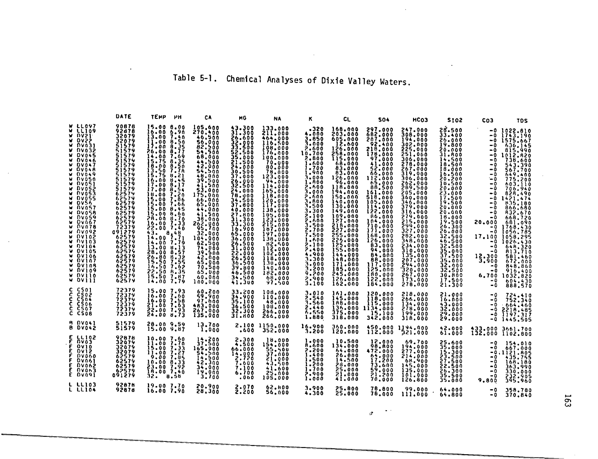# Table 5-1. Chemical Analyses of Dixie Valley Waters.

|                                                                                                                                                                                                                                                                                                                                                                                                                                                                                                                                                                                          | DATE                                                                                                                                                                                                                                                                                 | TEMP                                                                                                                                                                                                                                                                                                                                                                                                                                                                            | PH                                                                                                                                               | CA                                                                                                                                                                                                                                                                                                                                 | MG                                                                                                                                                                                                                                                                                                                                                      | <b>NA</b>                                                                                                                                                                                                                                                                                                  | κ                                                                                                                                                                                                                                                                                                         | CL.                                                                                                                                                                                                                                                                                                                               | <b>SO4</b>                                                                                                                                                                                                                                                                                                                              | HCO3                                                                                                                                                                                                                                                                                                                                                         | <b>ST02</b>                                                                                                                                                                                                                                                                                                                  | CO <sub>3</sub>                                                                                                                                                                         | <b>TDS</b>                                                                                                                                                                                                                                                                                                                                                                                              |
|------------------------------------------------------------------------------------------------------------------------------------------------------------------------------------------------------------------------------------------------------------------------------------------------------------------------------------------------------------------------------------------------------------------------------------------------------------------------------------------------------------------------------------------------------------------------------------------|--------------------------------------------------------------------------------------------------------------------------------------------------------------------------------------------------------------------------------------------------------------------------------------|---------------------------------------------------------------------------------------------------------------------------------------------------------------------------------------------------------------------------------------------------------------------------------------------------------------------------------------------------------------------------------------------------------------------------------------------------------------------------------|--------------------------------------------------------------------------------------------------------------------------------------------------|------------------------------------------------------------------------------------------------------------------------------------------------------------------------------------------------------------------------------------------------------------------------------------------------------------------------------------|---------------------------------------------------------------------------------------------------------------------------------------------------------------------------------------------------------------------------------------------------------------------------------------------------------------------------------------------------------|------------------------------------------------------------------------------------------------------------------------------------------------------------------------------------------------------------------------------------------------------------------------------------------------------------|-----------------------------------------------------------------------------------------------------------------------------------------------------------------------------------------------------------------------------------------------------------------------------------------------------------|-----------------------------------------------------------------------------------------------------------------------------------------------------------------------------------------------------------------------------------------------------------------------------------------------------------------------------------|-----------------------------------------------------------------------------------------------------------------------------------------------------------------------------------------------------------------------------------------------------------------------------------------------------------------------------------------|--------------------------------------------------------------------------------------------------------------------------------------------------------------------------------------------------------------------------------------------------------------------------------------------------------------------------------------------------------------|------------------------------------------------------------------------------------------------------------------------------------------------------------------------------------------------------------------------------------------------------------------------------------------------------------------------------|-----------------------------------------------------------------------------------------------------------------------------------------------------------------------------------------|---------------------------------------------------------------------------------------------------------------------------------------------------------------------------------------------------------------------------------------------------------------------------------------------------------------------------------------------------------------------------------------------------------|
| <b>LL097</b><br><b>LL109</b><br><b>DAS1</b><br><b>DV22</b><br>w.<br><b>DA031</b><br><b>DV032</b><br><b>DV045</b><br>M<br><b>DV046</b><br><b>DV047</b><br><b>DV048</b><br>v<br><b>DV049</b><br>w.<br><b>DVOSO</b><br><b>NV051</b><br>v<br><b>DV052</b><br><b>NV053</b><br>u<br><b>DV055</b><br>DVS6<br>v<br><b>DV057</b><br><b>DV058</b><br><b>DV659</b><br><b>DV667</b><br><b>DV078</b><br>v<br>.NV092<br><b>DAJ0S</b><br>w.<br><b>DA103</b><br>w<br>W DV104<br><b>DV105</b><br><b>DV106</b><br>v.<br><b>DV107</b><br><b>DV108</b><br>ы<br>DV109<br>w.<br><b>DATIO</b><br><b>W OVIII</b> | 90878<br>92878<br>32079<br>32079<br>51579<br>51579<br>51579<br>51579<br>51579<br>51579<br>51579<br>51579<br>51579<br>62574<br>62579<br>62579<br>62579<br>62579<br>62579<br>72379<br>091279<br>62579<br>62579<br>62579<br>62579<br>62579<br>62579<br>62579<br>62579<br>62579<br>62579 | 15.00 8.00<br>16.00 6.90<br>13.00<br>$\frac{1}{1}$ :00 8.50<br>26,00<br>$\frac{14.00}{15.75}$<br>$1\overline{3}\cdot\overline{50}$<br>$1\overline{5}\cdot\overline{75}$<br>16.00<br>$\frac{17.00}{17.00}$<br>18.00<br>$\frac{15.00}{15.00}$<br>15.00<br>15.00 8.60<br>28.00 0.70<br>16.00 7.33<br>22.00 7.40<br>$\begin{array}{c} 43.786 \\ 14.00 \\ 14.00 \\ 1.79 \end{array}$<br>13.006113<br>28.00 8.57<br>26.80 8.32<br>15.50 7.55<br>16.50 7.62<br>22.50<br>15.50<br>14.00 | 7.40<br>$\frac{8.77}{7.69}$<br>$8.35$<br>$9.50$<br>$7.78$<br>8.21<br>$\frac{8.45}{8.17}$<br>8.54<br>7.20<br>7.86<br>7.66<br>8.45<br>8.35<br>7.87 | 105.600<br>270.400<br>46.500<br>56.000<br>82.500<br>54.500<br>68,000<br>42.900<br>54.500<br>48.000<br>$\frac{39.500}{41.500}$<br>175,000<br>65.000<br>44.000<br>$262.900$<br>$262.900$<br>$262.900$<br>000-32<br>104.000<br>104.500<br>$\frac{74.000}{39.500}$<br>42.000<br>$\frac{65.000}{70.500}$<br>65.000<br>60.000<br>100.000 | $31.300$<br>31.300<br>26.600<br>32,000<br>33,500<br>52.500<br>35.000<br>21.500<br>24.000<br>30.500<br>37,000<br>$\frac{26}{3}$ $\frac{26}{3}$ $\frac{26}{5}$<br>24,000<br>78.000<br>37.500<br>40.000<br>$\frac{27.800}{31.300}$<br>16.900<br>65,000<br>36,000<br>26,500<br>31.000<br>22.000<br>26.500<br>36,500<br>39.800<br>46.500<br>34.500<br>41.300 | 133,000<br>211,000<br>464.000<br>116.500<br>108,000<br>176.000<br>100.000<br>70.000<br>80.000<br>78.000<br>123,000<br>94.000<br>114.000<br>165.000<br>118,000<br>129.000<br>138.000<br>105,000<br>212.000<br>187.000<br>197,000<br>138,000<br>118,000<br>130,000<br>140,000<br>182,000<br>68,000<br>97.500 | .320<br>4.000<br>3,850<br>3.000<br>2.600<br>10.700<br>2.800<br>1.600<br>1.700<br>1.900<br>3.000<br>1.800<br>2.600<br>3,000<br>2.600<br>3.800<br>3,500<br>3,300<br>2.100<br>2.600<br>3.500<br>2.700<br>7.500<br>1.600<br>$2 - 100$<br>2.400<br>4.900<br>3.300<br>3.000<br>3.200<br>9,200<br>2.900<br>3,100 | 168.000<br>203,000<br>605.000<br>12.600<br>126.000<br>258.000<br>115.000<br>68.000<br>83.000<br>83.000<br>126.000<br>96.000<br>118,000<br>194.000<br>150.000<br>140.000<br>149.000<br>109,000<br>127.000<br>218.000<br>255.000<br>226,000<br>125.000<br>144.000<br>148,000<br>171.000<br>185,000<br>245.000<br>126.000<br>162,000 | 297.000<br>682.000<br>207,000<br>92.400<br>218,000<br>178,000<br>97.000<br>41.000<br>52,000<br>66,000<br>112.000<br>88.500<br>161,000<br>518,000<br>105.000<br>114,000<br>122,000<br>86,000<br>104.000<br>710.000<br>168.000<br>126.000<br>83,000<br>94,000<br>84.000<br>000-000<br>117.000<br>125,000<br>180,000<br>155,000<br>184,000 | 247,000<br>308,000<br>194.000<br>302.000<br>225.000<br>251.000<br>306,000<br>278.000<br>267,000<br>319,000<br>306,000<br>262.000<br>289.500<br>205,000<br>360,000<br>346.000<br>379.000<br>316,000<br>279.000<br>215.000<br>327,000<br>282,000<br>348.000<br>234,000<br>310,000<br>135,000<br>207.000<br>294.000<br>320.000<br>267.000<br>173,000<br>278.000 | 28.500<br>33.400<br>26.000<br>19.800<br>20.000<br>31.800<br>14.500<br>18.500<br>18.000<br>16.500<br>18.500<br>20.000<br>23.000<br>17.500<br>19.500<br>20.000<br>20.000<br>18.000<br>19.500<br>26.300<br>26,000<br>32.500<br>46.500<br>32.500<br>35.000<br>37.500<br>35.000<br>32.000<br>32.500<br>30.800<br>17.500<br>21.300 | -0<br>- 0<br>- 0<br>- 0<br>-0<br>- 0<br>$-0$<br>- 0<br>- 0<br>- 0<br>- 0<br>- 0<br>- 0<br>- 0<br>- 0<br>20.000<br>- 0<br>- 0<br>- 0<br>- 0<br>- 0<br>13.300<br>- 0<br>- 0<br>- 0<br>- 0 | $-0$ 1022.810<br>$-0$ 1743.190<br>$-0$ 1575.667<br>636.145<br>815,990<br>$-0$ 1012,820<br>738,600<br>543.390<br>567.700<br>649.400<br>775.200<br>603.110<br>706.940<br>828.490<br>1421.474<br>835.180<br>866,680<br>A32.670<br>668,720<br>681.090<br>1768.430<br>1056.785<br>17.100 1058.295<br>1026.430<br>648.320<br>813.710<br>501.460<br>672.000<br>848.860<br>916.400<br>6.700 1032.820<br>888.570 |
| C CS01<br>C CSO2<br><b>CSO4</b><br>c.<br>CS06<br>c.<br><b>CSO7</b><br>C CSOB<br><b>8 DV041</b>                                                                                                                                                                                                                                                                                                                                                                                                                                                                                           | 72379<br>$7\bar{2}\bar{3}\bar{7}\bar{9}$<br>72379<br>72379<br>72379                                                                                                                                                                                                                  | 15.00 7.93<br>16.00<br>16.00 7.58<br>21.00 7.63<br>22.00 7.93<br>24.00                                                                                                                                                                                                                                                                                                                                                                                                          | 7.60<br>H.73                                                                                                                                     | 60.200<br>52.900<br>97.600<br>483.000<br>267,000<br>135,000                                                                                                                                                                                                                                                                        | 33,200<br>34.900<br>35.100<br>36.500<br>32.300<br>31.800                                                                                                                                                                                                                                                                                                | 108.000<br>110,000<br>48.000<br>108,000<br>266,000<br>266.000                                                                                                                                                                                                                                              | 3.010<br>3.540<br>2.440<br>6.550<br>1.880                                                                                                                                                                                                                                                                 | 161.000<br>145.000<br>188,000<br>136.000<br>375,000<br>318,000                                                                                                                                                                                                                                                                    | 120,000<br>115,000<br>1134.000<br>15,100<br>342,000                                                                                                                                                                                                                                                                                     | 218.000<br>266.000<br>134,000<br>278,000<br>199,000<br>318,000                                                                                                                                                                                                                                                                                               | 21.000<br>16.000<br>43.000<br>32.000<br>29.000<br>29.000                                                                                                                                                                                                                                                                     | -0<br>- 0                                                                                                                                                                               | 724:410<br>$-0.664, 460$<br>$-0.2218.485$<br>$-0.197.317$<br>$-0$ 1445.505                                                                                                                                                                                                                                                                                                                              |
| <b>B DV042</b>                                                                                                                                                                                                                                                                                                                                                                                                                                                                                                                                                                           | 51579<br>51579                                                                                                                                                                                                                                                                       | 28.00 9.59<br>15.009.87                                                                                                                                                                                                                                                                                                                                                                                                                                                         |                                                                                                                                                  | 13.700<br>1.000                                                                                                                                                                                                                                                                                                                    | .600                                                                                                                                                                                                                                                                                                                                                    | 2.100 1150.000<br>352.000                                                                                                                                                                                                                                                                                  | 16,900<br>3.200                                                                                                                                                                                                                                                                                           | 360.000<br>120.000                                                                                                                                                                                                                                                                                                                |                                                                                                                                                                                                                                                                                                                                         | 450.000 1194.000<br>112.000 321.000                                                                                                                                                                                                                                                                                                                          | 32.000                                                                                                                                                                                                                                                                                                                       |                                                                                                                                                                                         | 433.000 3661.700<br>132.000 1102.800                                                                                                                                                                                                                                                                                                                                                                    |
| <b>E LL102</b><br><b>DV03</b><br>E<br>E<br>$0$ vlo<br>E<br><b>DV12</b><br><b>DV060</b><br><b>DV061</b><br>ε<br><b>DV062</b><br>F<br><b>DVOM3</b><br>E DV091                                                                                                                                                                                                                                                                                                                                                                                                                              | 92878<br>32079<br>32079<br>32079<br>62579<br>62579<br>62579<br>62579<br>091279                                                                                                                                                                                                       | 10.007.50<br>$\begin{array}{c} 15.00 & 7.33 \\ 11.00 & 7.27 \end{array}$<br>9.00 7.85<br>10.00<br>23.00 7.92<br>32.                                                                                                                                                                                                                                                                                                                                                             | 8,33<br>8.58                                                                                                                                     | $\frac{14}{37}$ :500<br>165-000<br>54-500<br>14-500<br>42,300<br>34,000<br>19.000<br>3.700                                                                                                                                                                                                                                         | 2.300<br>66,000<br>14,000<br>2,720<br>7.600<br>7.100<br>6,700<br>.060                                                                                                                                                                                                                                                                                   | 18.000<br>154,000<br>$\frac{55.500}{37.000}$<br>21.000<br>43.500<br>41.600<br>000.25<br>000.251                                                                                                                                                                                                            | 1.000<br>8.600<br>2.200<br>1.400<br>1,500<br>1.500<br>1.700<br>2.900<br>1.000                                                                                                                                                                                                                             | 10.500<br>134,000<br>54.000<br>26.000<br>14.500<br>28,000<br>25.000<br>21,000<br>41.000                                                                                                                                                                                                                                           | 15.000<br><b>98.800</b><br>472.000<br>$\frac{64.000}{17.200}$<br>73,600<br>59.000<br>21,200<br>70,000                                                                                                                                                                                                                                   | 69.700<br>194.000<br>277.000<br>214,000<br>68,900<br>145,000<br>135.000<br>101,000<br>126,800                                                                                                                                                                                                                                                                | 25.600<br>35.000<br>$\frac{15.300}{22.500}$<br>27.500<br>22.500<br>26.300<br>35.500<br>35.000                                                                                                                                                                                                                                | - 0<br>- 0<br>-0<br>- 0<br>- 0<br>- 0<br>- 0<br>9,800                                                                                                                                   | 154.010<br>667.000<br>$-0.1121.005$<br>435,755<br>168.180<br>363,990<br>330.000<br>232.905<br>395.960                                                                                                                                                                                                                                                                                                   |
| L LLIO3<br>L LLIO4                                                                                                                                                                                                                                                                                                                                                                                                                                                                                                                                                                       | 92878<br>92878                                                                                                                                                                                                                                                                       | 19.00 7.70<br>16.007.90                                                                                                                                                                                                                                                                                                                                                                                                                                                         |                                                                                                                                                  | 20,900<br>28.300                                                                                                                                                                                                                                                                                                                   | 2.070<br>2.200                                                                                                                                                                                                                                                                                                                                          | 62.800<br>56.000                                                                                                                                                                                                                                                                                           | 3.900<br>4.300                                                                                                                                                                                                                                                                                            | 25,800<br>25,000                                                                                                                                                                                                                                                                                                                  | 78,800<br>78,000                                                                                                                                                                                                                                                                                                                        | 99.000<br>111.000                                                                                                                                                                                                                                                                                                                                            | 64.000<br>64.800                                                                                                                                                                                                                                                                                                             | -0<br>- 0                                                                                                                                                                               | 358.780<br>370.840                                                                                                                                                                                                                                                                                                                                                                                      |

 $\sim$ 

 $\vec{a}$ 

 $\ddot{\phantom{a}}$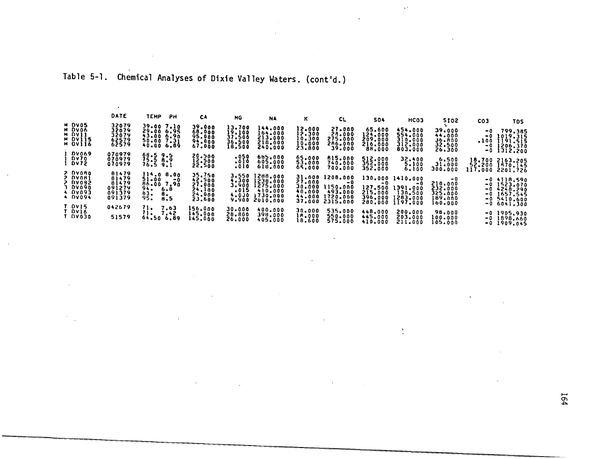Table 5-1. Chemical Analyses of Dixie Valley Waters. (cont'd.)

 $\mathcal{L}^{\mathcal{L}}(\mathcal{L}^{\mathcal{L}})$  and  $\mathcal{L}^{\mathcal{L}}(\mathcal{L}^{\mathcal{L}})$  and  $\mathcal{L}^{\mathcal{L}}(\mathcal{L}^{\mathcal{L}})$ 

 $\ddot{\phantom{a}}$ 

 $\sim$ 

|                                                                | DATE                                         | ТЕМР<br>Pн                                                                       | СA                                                       | MG                                                | <b>NA</b>                                                           | ĸ                                              | CL.                                                                  | 504                                               | HCO3                                                                    | 5102                                                       | CO <sub>3</sub>      | TDS                                                                               |
|----------------------------------------------------------------|----------------------------------------------|----------------------------------------------------------------------------------|----------------------------------------------------------|---------------------------------------------------|---------------------------------------------------------------------|------------------------------------------------|----------------------------------------------------------------------|---------------------------------------------------|-------------------------------------------------------------------------|------------------------------------------------------------|----------------------|-----------------------------------------------------------------------------------|
| M DV05<br>M DVO6<br><b>H DAJI</b><br><b>H</b> DV115<br>H OVII6 | 32079<br>32079<br>32079<br>62579<br>62579    | 39.007.10<br>29.00 6.95<br>43.006.90<br>50.007.31<br>40.006.89                   | 39.000<br>68.000<br>95.000<br>94.000<br>67.000           | 13.700<br>19.100<br>37,500<br>36.500<br>18.500    | 144.000<br>164.000<br>213.000<br>218,000<br>240,000                 | 12.000<br>12.300<br>10.300<br>10.000<br>23.800 | 27,000<br>28.000<br>275.000<br>286.000<br>39.000                     | 65.600<br>124,000<br>209,000<br>216.000<br>88.000 | 454.000<br>554,000<br>310.000<br>312,000<br>803.000                     | 39.000<br>44.000<br>36.ROO<br>32,500<br>26.300             | -0<br>-0<br>-0<br>-0 | 799.385<br>1019.315<br>$.100$ 1191.515<br>1206.370<br>1312.200                    |
| <b>DV069</b><br>DV70<br><b>DV72</b><br>2 DVORO                 | 070979<br>070979<br>070979<br>81479          | 68.59.5<br>75.5B.9<br>76.59.1                                                    | 20.500<br>$\frac{12.500}{22.500}$                        | 050.<br>.010<br>.010                              | 685,000<br>605.000<br>618,000                                       | 65.000<br>53,000<br>65.000                     | 815.000<br>740.000<br>700.000                                        | 512.000<br>352,000<br>352,000                     | 32.400<br>5.100<br>6.100                                                | 6.500<br>31.000<br>300.000                                 | 52,200<br>117.000    | 18.700 2163.205<br>1870.145<br>2201.726                                           |
| 2 DVOA1<br><b>2 DV092</b><br>3 DV090<br>4 DV093<br>4 DV094     | 81479<br>81479<br>091279<br>091379<br>091379 | 114.08.00<br>51.00<br>-0<br>96.00 7.90<br>94.7<br>6.8<br>83.<br>8.<br>95.<br>8.5 | 35.750<br>42.500<br>27.000<br>24,100<br>24,000<br>23.600 | 3.550<br>4.300<br>3,900<br>.015<br>4.030<br>9.900 | 1288.000<br>1238,000<br>1275.000<br>410.000<br>1730,000<br>2010.000 | 27.000<br>30.000<br>40.000<br>44.000<br>37.000 | 31.000 1208.000<br>-0<br>1150.000<br>493.000<br>1720.000<br>2315.000 | -0<br>127.500<br>215,000<br>396,000<br>280.000    | 130.000 1410.000<br>$-0$<br>1391.000<br>130.500<br>1283.000<br>1197.000 | - 0<br>210,000<br>232,000<br>325.000<br>189.000<br>160.000 |                      | $-0$ 4118,590<br>$-0$ 1523.070<br>$-0.4248.290$<br>$-0$ 1657.545<br>$-0.5410.600$ |
| T DVI5<br>T DVI6<br><b>T DV030</b>                             | 042679<br>51579                              | 71.<br>7.63<br>71.<br>7.42<br>64.50 6.89                                         | 156.000<br>145,000<br>145.000                            | 30.000<br>28,800<br>26.000                        | 400.000<br>398.000<br>405.000                                       | 30,000<br>18,000<br>18,600                     | 535.000<br>550.000<br>575.000                                        | 448,000<br>445,000<br>410.000                     | 200,000<br>203.000<br>211.000                                           | 98.000<br>00.000<br>105.000                                |                      | $-0.6041,300$<br>$-0$ 1905,930<br>$-0$ 1898,660<br>$-0.1909.045$                  |

 $\mathcal{L}(\mathcal{L})$  and  $\mathcal{L}(\mathcal{L})$  are the set of the set of  $\mathcal{L}(\mathcal{L})$ 

 $\ddot{\phantom{a}}$  .

 $\frac{1}{2}$ 

 $\sim$   $\sim$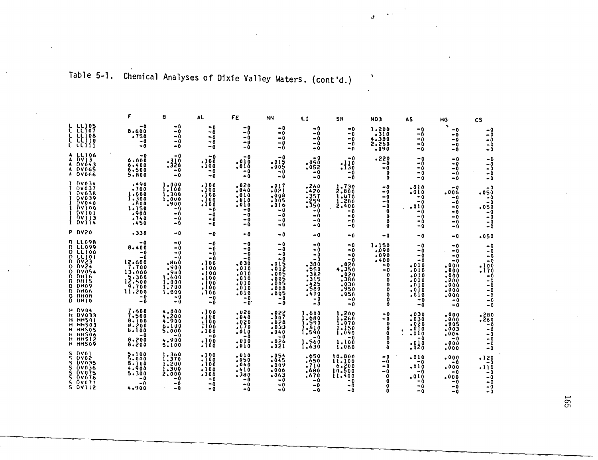Table 5-1. Chemical Analyses of Dixie Valley Waters. (cont'd.)

|                                                                                                                                                                                                     |                                                                                                                                             | B                                                                                                         | AL.                                                                                                 | FΕ                                                                                       | <b>MN</b>                                                                                        | LI                                                                                                 | <b>SR</b>                                                                                      | <b>NO3</b>                                                                                                       | <b>AS</b>                                                                                    | HG-                                                                                         | <b>CS</b>                                                                                        |
|-----------------------------------------------------------------------------------------------------------------------------------------------------------------------------------------------------|---------------------------------------------------------------------------------------------------------------------------------------------|-----------------------------------------------------------------------------------------------------------|-----------------------------------------------------------------------------------------------------|------------------------------------------------------------------------------------------|--------------------------------------------------------------------------------------------------|----------------------------------------------------------------------------------------------------|------------------------------------------------------------------------------------------------|------------------------------------------------------------------------------------------------------------------|----------------------------------------------------------------------------------------------|---------------------------------------------------------------------------------------------|--------------------------------------------------------------------------------------------------|
| <b>L LL105</b><br>L LLIO7<br>L LLIOB                                                                                                                                                                | $-0$<br>8.600<br>.750<br>$-0$<br>$-0$                                                                                                       | -0<br>-0<br>$-0$<br>-0<br>-0                                                                              | -0<br>- 0<br>$-0$<br>- 0<br>$-0$                                                                    | -0<br>-0<br>$-0$<br>-0<br>- 0                                                            | - 0<br>$-0$<br>-0<br>-0<br>- 0                                                                   | -0<br>$-0$<br>- 0<br>- 0<br>$-0$                                                                   | -0<br>-0<br>۰n<br>-0<br>- 0                                                                    | $1.200$<br>$.310$<br>4.380<br>2.260<br>.090                                                                      | -0<br>- Ō<br>$-0$<br>$-0$<br>- 0                                                             | ÷.<br>-0<br>$-0$<br>$-0$<br>$-0$<br>-0                                                      | -- 0<br>$-0$<br>$-0$<br>$-0$<br>$-0$                                                             |
| A LLIO6<br>A DVI3<br>A DV043<br><b>A DV065</b><br>A DV066                                                                                                                                           | -0<br>6.000<br>6.400<br>6.500<br>5.800                                                                                                      | $-0$<br>ة <b>13.</b><br>و12.<br>- 0<br>- 0                                                                | -0<br>001.<br>.100<br>-0<br>-0                                                                      | -0<br>.010<br>.010<br>- 0<br>-0                                                          | - 0<br>ة ده.<br>- 005<br>- 0<br>- 0                                                              | -0<br>ة 05°.<br>\$05°.<br>- 0<br>- 0                                                               | -0<br>:130<br>- 0<br>- 0                                                                       | .220<br>ΞŌ<br>-Ō<br>0<br>0                                                                                       | -0<br>-0<br>-0<br>-0<br>-0                                                                   | - 0<br>$-0$<br>- 0<br>$-0$<br>-0                                                            | $-0$<br>$\frac{1}{2}$<br>$-0$<br>$-0$                                                            |
| <b>DV034</b><br>I OVO37<br><b>DV038</b><br><b>DV039</b><br>DVO40<br>0.100<br><b>DAJ01</b><br><b>DV113</b><br>1 DV114                                                                                | .490<br>$-700$<br>1.000<br>1,300<br>.000<br>1,150<br>.900<br>.740<br>.450                                                                   | 1,000<br>1,100<br>1,300<br>1,000<br>.900<br>-0<br>-0<br>- 0<br>-0                                         | .100<br>.100<br>$-100$<br>.100<br>.100<br>۰û<br>- 0<br>$-0$<br>$-0$                                 | .020<br>$-040$<br>.010<br>$\sim 0.10$<br>.010<br>- 0<br>- 0<br>- 0<br>-0                 | .017<br>.021<br>.008<br>.005<br>016ء<br>-0<br>$-0$<br>$-0$<br>- 0                                | $: 260$<br>$: 420$<br>$: 357$<br><b>1259</b><br>350.<br>$-0$<br>$-0$<br>-0<br>-0                   | 1.730<br>2,800<br>1.670<br>.280<br>2.400<br>- 0<br>- 0<br>۰۵<br>۰Û                             | -0<br>$-0$<br>$-0$<br>-0<br>$-0$<br>$\mathbf 0$<br>$\mathbf{0}$                                                  | .010<br>.010<br>- 0<br>- 0<br>.010<br>- 0<br>-0<br>$-0$<br>-0                                | -0<br>.006<br>- 0<br>-0<br>$-0$<br>$-0$<br>- 0<br>-0<br>-0                                  | - 0<br>.050<br>÷٥<br>$-0$<br>.050<br>$-0$<br>$-0$<br>$-0$<br>-0                                  |
| <b>P DV20</b>                                                                                                                                                                                       | .330                                                                                                                                        | -0                                                                                                        | -0                                                                                                  | - 0                                                                                      | - 0                                                                                              | -0                                                                                                 | -0                                                                                             | - 0                                                                                                              | - 0                                                                                          | - 0                                                                                         | .050                                                                                             |
| <b>D LL098</b><br><b>D LL099</b><br>D LLIOO<br><b>D</b> LLIOI<br><b>0423</b><br>n.<br><b>D</b> DV24<br><b>D DV054</b><br><b>D</b> DH16<br>D DHIS<br>DH09<br>O.<br>D DHO6<br><b>D</b> DHOR<br>D DHIO | -0<br>8.400<br>- 0<br>$-0$<br>12.600<br>7.700<br>13.000<br>$\begin{array}{r} 15.300 \\ 15.500 \\ 9.700 \end{array}$<br>11.200<br>- 0<br>- 0 | -0<br>$-0$<br>$-0$<br>- 0<br>.860<br>.900<br>088.<br>000.1<br>1.000<br><b>1.700</b><br>1,800<br>-0<br>- 0 | -0<br>- 0<br>-0<br>۰n<br>.100<br>.100<br>.100<br>.100<br>$\cdot$ 100<br>100ء<br>.100<br>- 0<br>$-0$ | - 0<br>$-0$<br>-0<br>-0<br>.030<br>.010<br>: 010<br>.010<br>.010<br>010ء<br>$-0$<br>$-0$ | - 0<br>- 0<br>$-0$<br>- 0<br>.015<br>.012<br>.005<br>.005<br>005ء<br>.008<br>.005<br>$-0$<br>- 0 | - 0<br>- 0<br>-0<br>- 0<br>.380<br>550<br>$\frac{382}{315}$<br>.425<br>-580<br>.470<br>$-0$<br>- 0 | -0<br>-0<br>$-0$<br>- 0<br>02Ŏ<br>4.350<br>.020<br>.380<br>.030<br>.950<br>.050<br>$-0$<br>- 0 | 1.150<br>.090<br>.090<br>. 400<br>-0<br>- 0<br>$\Omega$<br>$\mathbf 0$<br>$\mathbf 0$<br>$\mathbf 0$<br>$\Omega$ | - 0<br>-0<br>-0<br>- 0<br>.010<br>.010<br>.010<br>.010<br>.010<br>.010<br>-010<br>$-0$<br>-0 | -0<br>$-0$<br>-0<br>-0<br>.000<br>.000<br>.000<br>.000<br>000ء<br>000.<br>.000<br>-0<br>- 0 | - 0<br>$-0$<br>$-0$<br>$-0$<br>.100<br>.170<br>$-0$<br>- 0<br>$-0$<br>- 0<br>$-9$<br>$-0$<br>- 0 |
| H DVD4<br><b>H DV033</b><br>H HHSOI<br>H HHSO3<br>H HHSOS<br>H HHSO6<br>H HHS12<br>H HHSO9                                                                                                          | 7.600<br>$7.500$<br>$8.100$<br>5.200<br>- 0<br>8.200<br>6.200                                                                               | 4.000<br>$\frac{1}{4}$ $\frac{2}{9}$<br>6.100<br>5.000<br>- 0<br>4.900<br>5.100                           | .100<br>.100<br>.100<br>.100<br>.100<br>$-0$<br>.100<br>.100                                        | .020<br>.040<br>$: 020$<br>$: 070$<br><b>.010</b><br>- 0<br>.010<br>.010                 | .022<br>.007<br>.028<br>-033<br>.040<br>-0<br>.026<br>.021                                       | $1.600$<br>$1.600$<br><b>1.590</b><br>$-610$<br><b>1.590</b><br>-0<br>1,560<br>1.630               | $1.200$<br>$1.260$<br>1,070<br>1.150<br>1,090<br>-0<br>1.100<br>1.060                          | - 0<br>$-\bar{0}$<br>$\mathbf 0$<br>Ŏ<br>$\mathbf 0$<br>0<br>O                                                   | .030<br>.030<br>.020<br>.010<br>$\ddot{\bullet}$<br>.010<br>$-0$<br>.010<br>.020             | .000<br>.000<br>.005<br>.003<br>.004<br>$-0$<br>.000<br>.000                                | .280<br>.260<br>- 0<br>- 0<br>$-0$<br>$-0$<br>$-0$<br>- 0                                        |
| S DVOI<br>S DVO2<br>S DV035<br>s<br><b>DV036</b><br>s<br><b>DV075</b><br>$5.0$ v $0.76$<br><b>S OV077</b><br><b>S DV112</b>                                                                         | 5.100<br>$\frac{5}{5}\cdot\frac{0}{100}$<br>4.900<br>5.300<br>- 0<br>- 0<br>4.900                                                           | $\frac{1.360}{1.370}$<br><b>1.200</b><br>1,300<br>2,000<br>- 0<br>- 0<br>$-0$                             | .100<br>$\overline{.}100$<br>.100<br>.100<br>.100<br>-0<br>-0<br>$-0$                               | .010<br>.050<br>040 ه<br>.410<br>.380<br>-0<br>-0<br>$-0$                                | .054<br>.045<br>.009<br>.006<br>.063<br>-0<br>- 0<br>$-0$                                        | .650<br>.650<br>.710<br>.680<br>.670<br>$-0$<br>$-0$<br>$-9$                                       | 10.800<br>11.100<br>6.200<br>10.500<br>11,400<br>$-0$<br>$-0$<br>- 0                           | $-0$<br>-ŏ<br>- 0<br>- 0<br>0<br>O<br>û                                                                          | .010<br>- 0<br>.010<br>$-0$<br>010ء<br>-0<br>$-0$<br>$-0$                                    | .000<br>- 0<br>.000<br>- 0<br>.000<br>÷ō<br>$-0$<br>- 0                                     | .120<br>-0<br>.110<br>- 0<br>$-0$<br>-0<br>$-0$<br>$-0$                                          |

 $\Delta$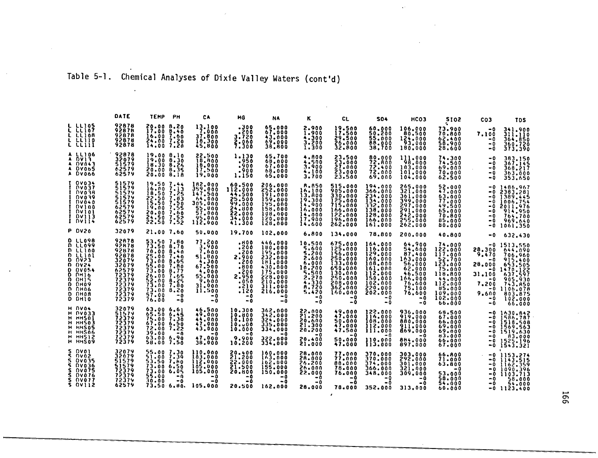## Table 5-1. Chemical Analyses of Dixie Valley Waters (cont'd)

|                                                                                                                                                                                                                                  | DATE                                                                                                              | <b>TEMP</b>                                                                                                        | Pн                                                                                 | CA                                                                                                                   | MG                                                                                                  | NA                                                                                                                                        | ĸ                                                                                                                     | <b>CL</b>                                                                                                                         | <b>SO4</b>                                                                                                                             | HCO3                                                                                                                      | <b>SI02</b>                                                                                                                           | CO3                                                                                                   | <b>TDS</b>                                                                                                                                    |
|----------------------------------------------------------------------------------------------------------------------------------------------------------------------------------------------------------------------------------|-------------------------------------------------------------------------------------------------------------------|--------------------------------------------------------------------------------------------------------------------|------------------------------------------------------------------------------------|----------------------------------------------------------------------------------------------------------------------|-----------------------------------------------------------------------------------------------------|-------------------------------------------------------------------------------------------------------------------------------------------|-----------------------------------------------------------------------------------------------------------------------|-----------------------------------------------------------------------------------------------------------------------------------|----------------------------------------------------------------------------------------------------------------------------------------|---------------------------------------------------------------------------------------------------------------------------|---------------------------------------------------------------------------------------------------------------------------------------|-------------------------------------------------------------------------------------------------------|-----------------------------------------------------------------------------------------------------------------------------------------------|
| <b>L LLIOS</b><br>L LLIO7<br>L LLIOR<br>E ELIIO                                                                                                                                                                                  | 92878<br>92876<br>92878<br>92878<br>92878                                                                         | 20.00<br><b>17.00</b><br>16.00<br>24.00<br>14.00                                                                   | 8.20<br>8.40<br>7.60<br>7:30                                                       | $\begin{array}{l} 13.100 \\ 7.000 \\ 37.800 \\ 18.300 \\ 45.800 \end{array}$                                         | .300<br>.200<br>3.720<br>$\frac{2.060}{7.300}$                                                      | 65.000<br>67,000<br>43.000<br>69.000<br>38,800                                                                                            | 2.900<br>1,900<br>4.300<br>3.200<br>1,300                                                                             | 19.500<br>17.500<br>29.500<br>26.000<br>32.800                                                                                    | 60,000<br>50.200<br>55.000<br>88.000<br>38,700                                                                                         | 106,000<br>80.500<br>124,000<br>93.000<br>180,000                                                                         | 73,900<br>70,800<br>62.400<br>58.900<br>28.600                                                                                        | -0<br>7.100<br>- 0<br>- 0<br>-0                                                                       | 341.900<br>311.110<br>364,850<br>360.720<br>373.390                                                                                           |
| <b>A LLIO6</b><br>DVI3.<br>A DV043<br><b>DV065</b><br>A DV066                                                                                                                                                                    | 92878<br>32079<br>51579<br>62579<br>62579                                                                         | 19.009.10<br>19.00 <b>8.30</b><br>18.30 8.26<br>20.00 8.35<br>20.00 B.18                                           |                                                                                    | 22.500<br>18.800<br>18.000<br>17.500<br>19.000                                                                       | 1.130<br>.950<br>.900<br>.900<br>1.150                                                              | 65.700<br>68,000<br>67,000<br>68,000<br>65.000                                                                                            | 4.800<br>4.500<br>3.900<br>4.100<br>3.700                                                                             | 23,500<br>23.000<br>27.000<br>23,000<br>23.500                                                                                    | 80.000<br><b>72.800</b><br>72,400<br>72.000<br>69,000                                                                                  | 111.000<br>98.000<br>103.000<br>101,000<br>104.000                                                                        | 74.300<br>74.500<br>69.000<br>70.000<br>62.500                                                                                        | -0<br>-0<br>- 0<br>- 0<br>- 0                                                                         | 363,150<br>367.145<br>368,217<br>363.000<br>353,650                                                                                           |
| <b>DV034</b><br><b>DV037</b><br><b>DV038</b><br><b>DV039</b><br><b>DV040</b><br><b>DV100</b><br><b>DAJ01</b><br><b>DV113</b><br>I DV114                                                                                          | 51579<br>51579<br>51579<br>51579<br>62579<br>62579<br>62579<br>62579                                              | 19.50 7.44<br>16.00<br>18.50<br>22.50<br>19.00<br>20.00<br>24.50<br>22.50                                          | 7.13<br>7.25<br>7.83<br>7.55<br>7.60<br>7:52                                       | 182.000<br>359.000<br>147.500<br>64,000<br>305.000<br>52.000<br>95.000<br>112.000                                    | 60.500<br>112.000<br>85.500<br>24,800<br>22.000<br>34.000                                           | 206,000<br>252.000<br>191.000<br>159.000<br>195.000<br>158,000<br>108.000<br>120.000<br>128,000                                           | 8.850<br>16.100<br>13.800<br>19.300<br>14.900<br>16.000<br>14,000<br>17,900<br>14.600                                 | 515,000<br>905.000<br>330,000<br>125.000<br>715.000<br>166.000<br>122.000<br>196.000<br>262.000                                   | 194.000<br>366.000<br>234,000<br>$\frac{1}{3}$ $\frac{3}{2}$ $\frac{1}{2}$ $\frac{0}{000}$<br>138,000<br>128,000<br>166.000<br>161.000 | 265.000<br>321.000<br>361,000<br>399.000<br>297.000<br>291,000<br>242.000<br>262.000                                      | 52.000<br>47.000<br>63.000<br>77.000<br>49.500<br>65.000<br>70.800<br>85.000<br>80.000                                                | -0<br>- 0<br>- 0<br>-0<br>- 0<br>- 0                                                                  | $-0.1486,967$<br>2383.281<br>$-0$ 1389.445<br>$-0.1006.754$<br>2011.976<br>914.950<br>764,700<br>969.640<br>1061.350                          |
| <b>P DV20</b>                                                                                                                                                                                                                    | 32079                                                                                                             | 21.00 7.60                                                                                                         |                                                                                    | 50,000                                                                                                               | 19,700                                                                                              | 102.000                                                                                                                                   | 6.800                                                                                                                 | 134.000                                                                                                                           | 78.800                                                                                                                                 | 200.000                                                                                                                   | 40.800                                                                                                                                | - 0                                                                                                   | 632.430                                                                                                                                       |
| <b>D LL098</b><br><b>n</b> LL099<br><b>D</b> LLIOO<br>$D$ <i>LL101</i><br><b>D DV23</b><br><b>D DAST</b><br><b>DV054</b><br>Đ<br>DH16<br>Đ<br><b>OH15</b><br>Đ.<br><b>DH09</b><br>Đ.<br>DH06<br>n<br><b>DHO8</b><br>D.<br>D DHIO | 92878<br>92878<br>92878<br>92878<br>32079<br>32079<br>62579<br>72379<br>72379<br>72379<br>72379<br>72379<br>72379 | 53.50 7.80<br>73.50 8.70<br>70.00<br>25.00<br>55.00<br>73.00<br>26.00<br>52.00<br>73.00<br>73.00<br>57.00<br>76.00 | 8,40<br>7.40<br>8.65<br>7.80<br>8.77<br>7.65<br>8.25<br>7.80<br>8.20<br>$-0$<br>-0 | 77.200<br>3.900<br>ةةة: 7<br>51.900<br>4.300<br>67,500<br>4.000<br>55.000<br>9.600<br>31,000<br>11.500<br>- 0<br>- 0 | .000<br>.200<br>.200<br>2,900<br>.200<br>.800<br>.200<br>2.950<br>.050<br>.210<br>.120<br>-0<br>- 0 | 446.000<br>180,000<br>195.000<br>232.000<br><b>IB1,000</b><br>430.000<br>175,000<br>228.000<br>210.000<br>311,000<br>216,000<br>- 0<br>-0 | 10,500<br>5.600<br>5.200<br>2.600<br>6,000<br>10.200<br>5.500<br>2.270<br>$\frac{4.330}{8.720}$<br>5.420<br>- 0<br>-0 | 675.000<br>125,000<br>156.000<br>250,000<br>133.000<br>650.000<br>130.000<br>250.000<br>208.000<br>362.000<br>160.000<br>-0<br>-0 | 164,000<br>116,000<br>129.000<br>160.000<br>108,000<br>161.000<br>112,000<br>150,000<br>102.000<br>220.000<br>202.000<br>-0<br>- 0     | 64.900<br>54,600<br>87.400<br>163.000<br>56,000<br>62.000<br>46.500<br>166.000<br>76.600<br>75.100<br>76,600<br>-0<br>- 0 | 74.000<br>122,000<br>117.000<br>52.700<br>123.000<br>75.000<br>118.800<br>44.000<br>112.000<br>85.000<br>109.000<br>102.000<br>66.000 | -0<br>28.300<br>9.470<br>- 0<br>28.000<br>- 0<br>31.100<br>- 0<br>7,200<br>- 0<br>9.600<br>- 0<br>- 0 | 1513,550<br>644.090<br>706,960<br>915,400<br>653.505<br>1470.122<br>637.597<br>905.930<br>743,850<br>1106.078<br>803,875<br>102,000<br>66,000 |
| H DVO4<br><b>H DV033</b><br><b>H HHSOI</b><br>н нн5о3<br>H HHSOS<br>H MHSO6<br><b>H HHSI2</b><br>H HHSO9                                                                                                                         | 32079<br>51579<br>72379<br>72379<br>72379<br>72379<br>72379<br>72379                                              | 63.00 6.61<br>65.50<br>75.00 7.30<br>67.00<br>72.00<br>39.00<br>63.00<br>58.00                                     | 6.45<br>6.50<br>7.22<br>- ი<br>6.90<br>7.50                                        | 46.500<br>49.000<br>47.000<br>43.000<br>- 0<br>47.000<br>38.000                                                      | 10.300<br>10.800<br>10,100<br>10.J00<br>10.000<br>- 0<br>9.900<br>10,200                            | 362,000<br>342,000<br>324.000<br>335,000<br>334,000<br>- 0<br>322,000<br>334.000                                                          | 22.000<br>21,200<br>20.600<br>21,300<br>20.200<br>$-0$<br>20.400<br>21,000                                            | 49.000<br>47.000<br>50.000<br>47.000<br>47.500<br>-0<br>50.000<br>47.000                                                          | 122,000<br>116.000<br>108.000<br>112.000<br>111,000<br>- 0<br>110.000<br>113.000                                                       | 936.000<br>919,000<br>880.000<br>911,000<br>869,000<br>- 0<br>884.000<br>897,000                                          | 68.500<br>67.000<br>66.000<br>69.000<br>69.000<br>83.000<br>66.000<br>67.000                                                          | -0<br>- 0<br>- 0<br>- 0<br>- 0                                                                        | 1630.842<br>1586.787<br>1518.508<br>-0 1569.563<br>$-0$ 1519.630<br>1525.196<br>-0 1543.321                                                   |
| ៱៴៰៶<br>S.<br>DV02<br>s<br><b>DV035</b><br>s<br><b>DV036</b><br>s<br><b>DV075</b><br>s.<br><b>DV076</b><br>S NVÕ77<br><b>S DV112</b>                                                                                             | 32079<br>32079<br>51579<br>51579<br>72379<br>72379<br>72374<br>62579                                              | 55.00<br>51.00 7.39<br>53.50 7.80<br>73.00<br>73.00<br>55.00<br>30.00<br>73.50.6.80.                               | 7.30<br>6.50<br>6.05<br>- 0<br>- 0                                                 | 110.000<br>103,000<br>112,000<br>105,000<br>105.000<br>$-0$<br>-0<br>105.000                                         | 20.400<br>21.200<br>22.000<br>21.500<br>20.800<br>- 0<br>- 0<br>20.500                              | 160.000<br>163.000<br>162,000<br>155.000<br>150.000<br>- 0<br>- 0<br>162.000                                                              | 28.000<br>28.000<br>26.200<br>26.000<br>22,000<br>- 0<br>- 0<br>28.000                                                | 77.000<br>77.000<br>88.000<br>78.000<br>76.000<br>-0<br>-0<br>78.000                                                              | 370,000<br>370,000<br>374,000<br>366.000<br>348.000<br>-0<br>$-0$<br>352.000                                                           | 303,000<br>292,000<br>301,000<br>321,000<br>309.000<br>-0<br>- 0<br>313,000                                               | 66.AOO<br>71-000<br>63.800<br>- 0<br>53.000<br>58.000<br>54.000<br>60.000                                                             | - 0<br>-0<br>-0<br>-0                                                                                 | $-0$ 1153.274<br>$-0$ 1143.515<br><b>-ŏ ii62.359</b><br>1090.396<br>1103.713<br>58.000<br>54.000<br>$-0$ 1123.400                             |

 $\mathcal{L}$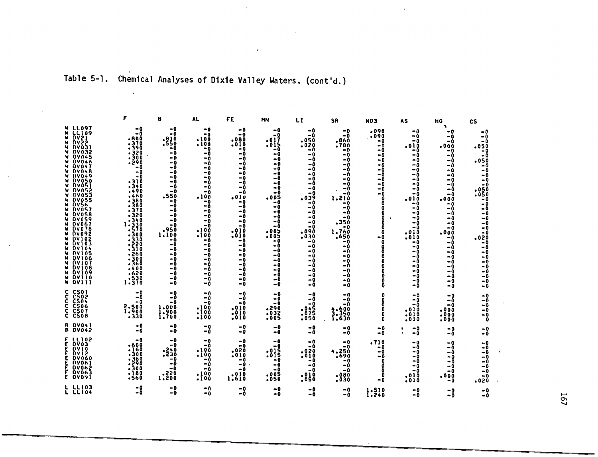### Table 5-1. Chemical Analyses of Dixie Valley Waters. (cont'd.)

 $\mathcal{L}^{\text{max}}_{\text{max}}$ 

 $\sim$ 

 $\mathcal{L}$ 

 $\Delta$ 

|                                                                                                                                                                                                                                                                                                                                                                                                                                                                                                                                                                |                                                                                                                                                                                                                                                                                       | B                                                                                                                                                                                                                                           | AL.                                                                                                                                                                                                                                                 | FE                                                                                                                                                                                                                                                     | . MN                                                                                                                                                                                                                                                      | LI                                                                                                                                                                                                                                                         | <b>SR</b>                                                                                                                                                                                                                                            | <b>NO3</b>                                                                                                                                                                  | <b>AS</b>                                                                                                                                                                                                                    | HG                                                                                                                                                                                                                                                      | <b>CS</b>                                                                                                                                                                                                                                     |
|----------------------------------------------------------------------------------------------------------------------------------------------------------------------------------------------------------------------------------------------------------------------------------------------------------------------------------------------------------------------------------------------------------------------------------------------------------------------------------------------------------------------------------------------------------------|---------------------------------------------------------------------------------------------------------------------------------------------------------------------------------------------------------------------------------------------------------------------------------------|---------------------------------------------------------------------------------------------------------------------------------------------------------------------------------------------------------------------------------------------|-----------------------------------------------------------------------------------------------------------------------------------------------------------------------------------------------------------------------------------------------------|--------------------------------------------------------------------------------------------------------------------------------------------------------------------------------------------------------------------------------------------------------|-----------------------------------------------------------------------------------------------------------------------------------------------------------------------------------------------------------------------------------------------------------|------------------------------------------------------------------------------------------------------------------------------------------------------------------------------------------------------------------------------------------------------------|------------------------------------------------------------------------------------------------------------------------------------------------------------------------------------------------------------------------------------------------------|-----------------------------------------------------------------------------------------------------------------------------------------------------------------------------|------------------------------------------------------------------------------------------------------------------------------------------------------------------------------------------------------------------------------|---------------------------------------------------------------------------------------------------------------------------------------------------------------------------------------------------------------------------------------------------------|-----------------------------------------------------------------------------------------------------------------------------------------------------------------------------------------------------------------------------------------------|
| <b>W LL097</b><br><b>LL109</b><br>M.<br>DV21<br>м.<br><b>DV22</b><br>$\mathbf{M}$<br><b>DV031</b><br>v<br><b>DV032</b><br><b>W OVO4S</b><br>07046<br><b>DV047</b><br>DV048<br><b>W DV049</b><br><b>DV050</b><br><b>W DVOSI</b><br><b>DV052</b><br><b>W DVOS3</b><br><b>DV055</b><br><b>DVS6</b><br>M.<br>M.<br><b>DV057</b><br><b>DV058</b><br><b>W DV059</b><br><b>W DVO67</b><br>W DV078<br><b>DV092</b><br><b>DV102</b><br>W DV103<br>M.<br><b>DV104</b><br><b>DV105</b><br><b>DV106</b><br><b>W DVIO7</b><br><b>DV108</b><br>W DV109<br>W DV110<br>W DVIII | $-0$<br>- 0<br>$-800$<br>.370<br>-390<br>.320<br>.300<br>.290<br>$-0$<br>$-0$<br>$-0$<br>$-310$<br>-340<br>. 490<br>.460<br>.380<br>- 380<br>-370<br>.320<br>-340<br>1.330<br>.570<br>$-300$<br>.330<br>.220<br>.310<br>.260<br>300ء<br>.360<br>-400<br>620ء<br>$.5\bar{30}$<br>1.370 | -0<br>-0<br>.810<br>.S50<br>-0<br>- 0<br>$-0$<br>$-0$<br>$-0$<br>-Ō<br>$-0$<br>-0<br>$-0$<br>$-0$<br>.550<br>$-0$<br>-0<br>-0<br>$-0$<br>$-0$<br>$-0$<br>ةse.<br>1:100<br>$-0$<br>$-0$<br>-0<br>- 0<br>۰Ō<br>-Ō<br>-0<br>$-0$<br>$-0$<br>-0 | -0<br>-0<br>.100<br>.100<br>$-0$<br>-0<br>$-0$<br>$-0$<br>$-0$<br>$-0$<br>$-0$<br>$-0$<br>-0<br>$-0$<br>.10ŏ<br>$-0$<br>-0<br>-0<br>-0<br>$-0$<br>$-0$<br>.100<br>100ء<br>$-0$<br>- 0<br>$-0$<br>$-0$<br>$-0$<br>$-0$<br>$-0$<br>$-0$<br>$-0$<br>-0 | -0<br>-0<br>.080<br>.010<br>- 0<br>-0<br>- 0<br>$-0$<br>- 0<br>$-0$<br>$-0$<br>$-0$<br>$-0$<br>$-0$<br>.010<br>$-0$<br>-0<br>- 0<br>۰n<br>-0<br>$-\mathbf{0}$<br>.010<br>.010<br>$-0$<br>-0<br>$-0$<br>-0<br>- 0<br>-0<br>$-0$<br>$-0$<br>$-0$<br>$-0$ | $-0$<br>$-0$<br>.017<br>15.0<br>ΞŌ<br>-0<br>- 0<br>$-0$<br>$-0$<br>$-0$<br>$-0$<br>$-0$<br>$-0$<br>$-0$<br>.005<br>ΞŌ<br>۰Ò<br>$-0$<br>$-0$<br>-0<br>$-0$<br>005ء<br>.005<br>$-0$<br>$-0$<br>$-0$<br>$-0$<br>$-0$<br>$-0$<br>$-0$<br>$-0$<br>$-0$<br>$-0$ | $-0$<br>$-0$<br>.050<br>.020<br>$-0$<br>- 0<br>-0<br>-0<br>$-0$<br>$-0$<br>$-0$<br>$-0$<br>$-0$<br>$-0$<br>$.03\%$<br>$\sim 0$<br>- 0<br>-0<br>- 0<br>-0<br>$-0$<br>.090<br>.030<br>$-0$<br>-0<br>-0<br>-0<br>$-0$<br>$-0$<br>$-0$<br>$-0$<br>$-0$<br>$-0$ | -0<br>-0<br>.860<br>.780<br>$-0$<br>-0<br>-0<br>-0<br>$-0$<br>$-0$<br>$-0$<br>-0<br>$-0$<br>-ი<br>1.210<br>$-0$<br>۰Ō<br>$-0$<br>$-0$<br>.350<br>$-0$<br>l.76ŏ<br>.650<br>$-0$<br>-0<br>$-\theta$<br>$-0$<br>$-0$<br>-0<br>$-0$<br>$-0$<br>- 0<br>-0 | .090<br>.090<br>-0<br>$-0$<br>- 0<br>-0<br>-0<br>-0<br>-0<br>- 0<br>-0<br>-0<br>-0<br>- 0<br>$\mathbf o$<br>0<br>Ō<br>$\mathbf 0$<br>O<br>$\mathbf{a}$<br>o<br>-0<br>0<br>٥ | -0<br>-0<br>-0<br>.010<br>-0<br>-0<br>-0<br>-0<br>$-0$<br>- 0<br>- 0<br>-0<br>- 0<br>$-0$<br>.010<br>-0<br>$-0$<br>-0<br>-0<br>- 0<br>$-0$<br>.010<br>.010<br>-0<br>-0<br>-0<br>-0<br>- 0<br>- 0<br>-0<br>$-0$<br>-0<br>$-0$ | ъ.<br>-0<br>$-0$<br>- 0<br>.000<br>- 0<br>- 0<br>-0<br>$-\theta$<br>- 0<br>- 0<br>$-0$<br>- 0<br>$-0$<br>$-0$<br>.000<br>$-0$<br>-0<br>-0<br>$-0$<br>- 0<br>$-0$<br>.00Ō<br>-0<br>-0<br>-0<br>-0<br>$-0$<br>$-0$<br>$-0$<br>- 0<br>$-0$<br>$-0$<br>$-0$ | -0<br>$-0$<br>-0<br>.050<br>$-0$<br>$-0$<br>.050<br>$-0$<br>- 0<br>$-0$<br>- 0<br>- 0<br>050ء<br>.050<br>$-a$<br>- 0<br>- 0<br>- 0<br>- 0<br>- 0<br>$-0$<br>- 0<br>.020<br>$-0$<br>- 0<br>$-0$<br>$-0$<br>-0<br>-0<br>۵-<br>- 0<br>- 0<br>- 0 |
| C CS01<br>č čšō2<br><b>CSO4</b><br>c<br>c<br>CS06<br>Ć<br>CS07<br>Č.<br><b>CSOR</b>                                                                                                                                                                                                                                                                                                                                                                                                                                                                            | -0<br>$-0$<br>- 0<br><b>2.500</b><br>1.900<br>.330                                                                                                                                                                                                                                    | $-0$<br>-0<br>-0<br>$1:900$<br>$1:900$<br>$1:700$                                                                                                                                                                                           | -0<br>-0<br>-0<br>.100<br>$\frac{1}{2}$                                                                                                                                                                                                             | $-0$<br>-0<br>- 0<br>$: 010$<br>:010                                                                                                                                                                                                                   | $-0$<br>-0<br>-0<br><b>890.</b><br>\$692.<br>-005                                                                                                                                                                                                         | -0<br>-0<br>-0<br>:045<br>.050                                                                                                                                                                                                                             | -0<br>-0<br>-0<br>$3.350$<br>$3.350$<br>$1.630$                                                                                                                                                                                                      | n<br>0<br>O<br>O                                                                                                                                                            | -0<br>$-0$<br>$-0$<br>.010<br>.010<br>.010                                                                                                                                                                                   | $-0$<br>-0<br>-0<br>.000<br>.000<br>.000                                                                                                                                                                                                                | $-0$<br>- 0<br>$-0$<br>$-0$<br>- 0<br>$\ddot{\mathbf{o}}$                                                                                                                                                                                     |
| <b>A DVO41</b><br><b>B</b> DV042                                                                                                                                                                                                                                                                                                                                                                                                                                                                                                                               | -0<br>$-0$                                                                                                                                                                                                                                                                            | -0<br>$-\bar{0}$                                                                                                                                                                                                                            | $-0$<br>-0                                                                                                                                                                                                                                          | -0<br>-0                                                                                                                                                                                                                                               | $-0$<br>-0                                                                                                                                                                                                                                                | $-0$<br>- 0                                                                                                                                                                                                                                                | $-0$<br>-0                                                                                                                                                                                                                                           | $-0$<br>- 0                                                                                                                                                                 | $-0$<br>$-0$                                                                                                                                                                                                                 | $-0$<br>$-0$                                                                                                                                                                                                                                            | $-0$<br>- 0                                                                                                                                                                                                                                   |
| E LLIO2<br>DV03<br><b>DV10</b><br>Ε<br>Ε<br><b>DV12</b><br><b>DV060</b><br><b>DV06</b><br><b>DV062</b><br><b>F DVO63</b><br>E DVOVI                                                                                                                                                                                                                                                                                                                                                                                                                            | -0<br>.600<br>.160<br>$-300$<br>.360<br>.290<br>.300<br>.180<br>.560                                                                                                                                                                                                                  | -0<br>$-0$<br>: 240<br>ة -<br>- 0<br>-0<br>08\$:1                                                                                                                                                                                           | $-0$<br>۰Ò<br>.100<br>.100<br>$-0$<br>- 0<br>$-0$<br>: 100                                                                                                                                                                                          | $-0$<br>$-0$<br>.020<br>.010<br>- 0<br>- 0<br>-0<br>.010<br>1,610                                                                                                                                                                                      | - 0<br>-0<br>$: 01\frac{5}{5}$<br>-0<br>-0<br>- 0<br>005ء<br>.050                                                                                                                                                                                         | -0<br>$-0$<br>.020<br>$\sim$ 010<br>- 0<br>-0<br>-0<br>.010<br>.050                                                                                                                                                                                        | -0<br>-0<br>4.250<br>$-0$<br>-0<br>$-0$<br>.980<br>.030                                                                                                                                                                                              | .710<br>- 0<br>-0<br>-0<br>$\ddot{\mathbf{0}}$<br>0<br>O<br>$\mathbf o$<br>- 0                                                                                              | -0<br>-0<br>$-0$<br>-0<br>$-0$<br>-0<br>$-0$<br>.010<br>.010                                                                                                                                                                 | -0<br>$-0$<br>-0<br>-0<br>- 0<br>-0<br>$-0$<br>000 ه<br>$-0$                                                                                                                                                                                            | - 0<br>-0<br>- 0<br>- 0<br>- 0<br>- 0<br>- 0<br>$-0$<br>.020                                                                                                                                                                                  |
| <b>L 난 103</b>                                                                                                                                                                                                                                                                                                                                                                                                                                                                                                                                                 | -0<br>$-0$                                                                                                                                                                                                                                                                            | -0<br>-0                                                                                                                                                                                                                                    | -0<br>$-0$                                                                                                                                                                                                                                          | -0<br>-0                                                                                                                                                                                                                                               | -0<br>-0                                                                                                                                                                                                                                                  | -0<br>-0                                                                                                                                                                                                                                                   | -0<br>$-0$                                                                                                                                                                                                                                           | 1.510<br>1.240                                                                                                                                                              | -0<br>$-0$                                                                                                                                                                                                                   | -0<br>$-0$                                                                                                                                                                                                                                              | -0<br>- 0                                                                                                                                                                                                                                     |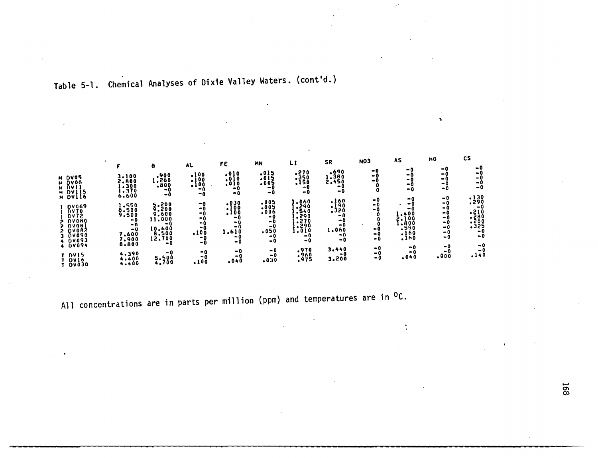# Table 5-1. Chemical Analyses of Dixie Valley Waters. (cont'd.)

 $\mathcal{L}$ 

|                                                                            |                                  | 8                                | AL                                     | FE                                         | MN                                      | LI                                     | SR                              | <b>NO3</b><br>-0  | AS<br>-0                      | HG<br>-0<br>-0          | сs<br>- 0                          |
|----------------------------------------------------------------------------|----------------------------------|----------------------------------|----------------------------------------|--------------------------------------------|-----------------------------------------|----------------------------------------|---------------------------------|-------------------|-------------------------------|-------------------------|------------------------------------|
| M DV05<br>M DVO6<br><b>H DV</b><br>H DV<br>115                             | 3,100<br>2.A00<br>.300<br>.370   | 008.1<br>068.1<br>009.<br>-0     | $:100$<br>$:100$<br>$:100$<br>۰n<br>-0 | $: 010$<br>$: 010$<br>$: 010$<br>- 0<br>-0 | $.015$<br>$.015$<br>$.005$<br>-0<br>- 0 | $:350$<br>$:350$<br>$:150$<br>-0<br>-0 | 1.380<br>-0<br>-0               | - 0<br>- 0        | -0<br>-0<br>-0<br>-0          | - 0<br>$^{\circ}$<br>-0 | - 0<br>-0<br>-0                    |
| 116<br><b>DV069</b><br><b>DA10</b>                                         | 6.600<br>!.550<br>8,500<br>9.500 | -0<br>5.200<br>9.600             | -0<br>-0<br>-0                         | .030<br>.100<br>.100                       | $: 005$<br>$: 005$                      | 1,060<br>1,290<br>1,540                | $:160$<br>$:190$<br>$:320$      | -0<br>- 0<br>- 0  | -0<br>-0<br>-0<br>.400        | $-0$<br>-0<br>- 0<br>-0 | $: \frac{130}{290}$<br>-0          |
| <b>DV72</b><br><b>DVORO</b><br><b>OVOH</b><br><b>DVOAŽ</b><br><b>DV090</b> | $-0$<br>- 0<br>-0<br>7.600       | 11,000<br>- 0<br>10.600<br>8.500 | -0<br>-0<br>-0<br>.100                 | -0<br>-0<br>-0<br>1.610                    | -0<br>- 0<br>- 0<br>.050                | .290<br>.270<br>$\sim$ 290<br>1.010    | - 0<br>- 0<br>-0<br>1.060<br>-0 | - 0<br>- 0        | 2.100<br>600.<br>.š90<br>.160 | - 0<br>-0<br>- 0<br>- 0 | -210<br>-280<br>-329<br>-325<br>-0 |
| <b>DV093</b><br>4 0V094                                                    | 1,900<br>8,800<br>4.390          | 12,700<br>-0<br>-0               | -0<br>-0<br>- 0                        | -0<br>-0<br>-0                             | -0<br>-0<br>-0                          | - 0<br>- 0<br>.970                     | -0<br>3.440                     | - 0<br>$-0$<br>-0 | .160<br>- 0<br>-0             | -0<br>-0<br>-0          | - 0<br>$-0$<br>- 0                 |
| T DVIS<br><b>DV16</b><br><b>DV030</b>                                      | $4.400$<br>$4.400$               | 5.500                            | -0<br>.100                             | - 0<br>.040                                | - 0<br>.030                             | : 960                                  | -0<br>3.200                     | -0                | .040                          | .000                    | .140                               |

 $\mathcal{A}^{\pm}$ 

 $\epsilon^2$ 

 $\frac{1}{2}$ 

 $\ddot{\phantom{a}}$ 

All concentrations are in parts per million (ppm) and temperatures are in <sup>O</sup>C.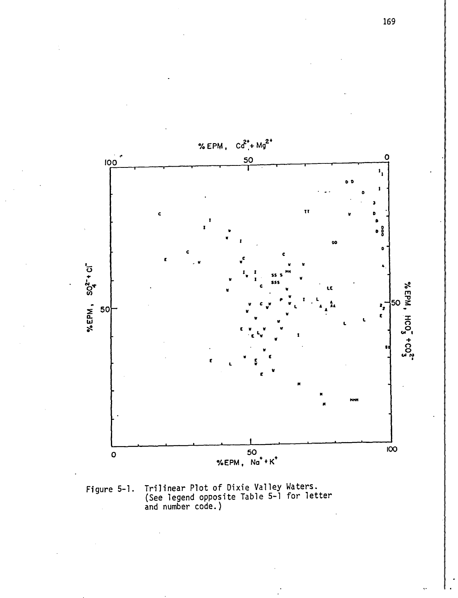

Trilinear Plot of Dixie Valley Waters.<br>(See legend opposite Table 5-1 for letter<br>and number code.) Figure 5-1.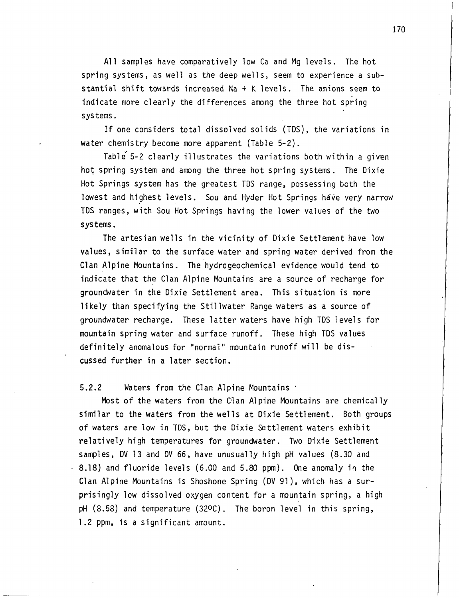All samples have comparatively low Ca and Mg levels. The hot spring systems, as well as the deep wells, seem to experience a substantial shift towards increased Na  $+$  K levels. The anions seem to indicate more clearly the differences among the three hot spring systems.

If one considers total dissolved solids (TDS), the variations in water chemistry become more apparent (Table 5-2).

Table 5-2 clearly illustrates the variations both within a given hot spring system and among the three hot spring systems. The Dixie Hot Springs system has the greatest TDS range, possessing both the lowest and highest levels. Sou and Hyder Hot Springs have very narrow TOS ranges, with Sou Hot Springs having the lower values of the two systems.

The artesian wells in the vicinity of Dixie Settlement have low values, similar to the surface water and spring water derived from the Clan Alpine Mountains. The hydrogeochemical evidence would tend to indicate that the Clan Alpine Mountains are a source of recharge for groundwater in the Dixie Settlement area. This situation is more likely than specifying the Stillwater Range waters as a source of groundwater recharge. These latter waters have high TDS levels for mountain spring water and surface runoff. These high TDS values definitely anomalous for "normal" mountain runoff will be discussed further in a later section.

#### 5.2.2 Waters from the Clan Alpine Mountains'

Most of the waters from the Clan Alpine Mountains are chemically similar to the waters from the wells at Dixie Settlement. Both groups of waters are low in TDS, but the Dixie Settlement waters exhibit relatively high temperatures for groundwater. Two Dixie Settlement samples, DV 13 and DV 66, have unusually high pH values (8.30 and 8.18) and fluoride levels (6.00 and 5.80 ppm). One anomaly in the Clan Alpine Mountains is Shoshone Spring (DV 91), which has a surprisingly low dissolved oxygen content for a mountain spring, a high pH (8.58) and temperature (320C). The boron level in this spring, 1.2 ppm, is a significant amount.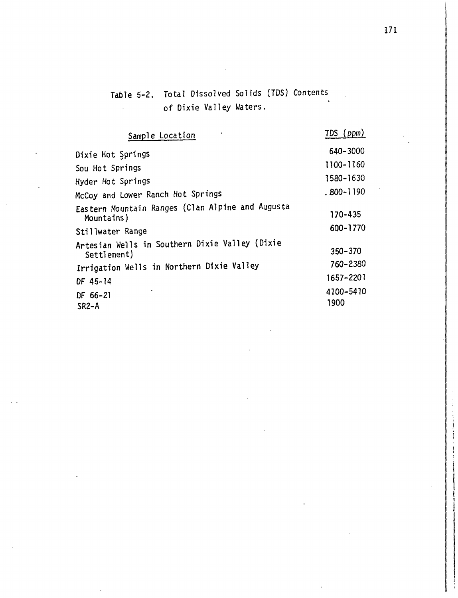Table 5-2. Total Dissolved Solids (TDS) Contents of Dixie Valley Waters.  $\mathbb{Z}^2$ 

| Sample Location                                                | TDS (ppm)         |
|----------------------------------------------------------------|-------------------|
| Dixie Hot Springs                                              | 640-3000          |
| Sou Hot Springs                                                | 1100-1160         |
| Hyder Hot Springs                                              | 1580-1630         |
| McCoy and Lower Ranch Hot Springs                              | $.800 - 1190$     |
| Eastern Mountain Ranges (Clan Alpine and Augusta<br>Mountains) | 170-435           |
| Stillwater Range                                               | 600-1770          |
| Artesian Wells in Southern Dixie Valley (Dixie<br>Settlement)  | 350-370           |
| Irrigation Wells in Northern Dixie Valley                      | 760-2380          |
| DF 45-14                                                       | 1657-2201         |
| DF 66-21<br>SR2-A                                              | 4100-5410<br>1900 |

171

i I |<br>|<br>| t  $\mathfrak{t}$ I  $\vert \ \vert$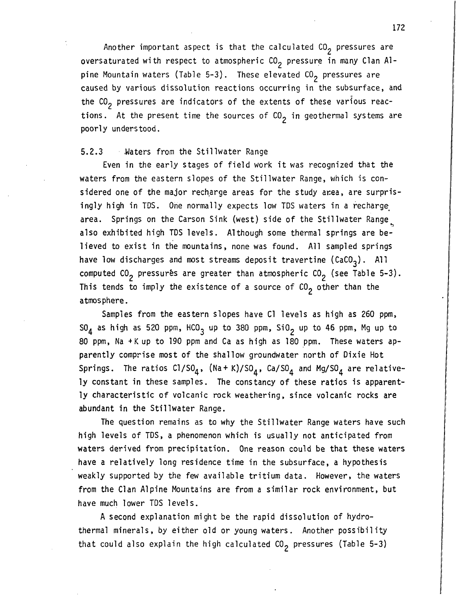Another important aspect is that the calculated  $CO<sub>2</sub>$  pressures are oversaturated with respect to atmospheric  $CO<sub>2</sub>$  pressure in many Clan Alpine Mountain waters (Table 5-3). These elevated  $CO<sub>2</sub>$  pressures are caused by various dissolution reactions occurring in the subsurface, and the  $CO<sub>2</sub>$  pressures are indicators of the extents of these various reactions. At the present time the sources of  $CO<sub>2</sub>$  in geothermal systems are poorly understood.

#### 5.2.3 Waters from the Stillwater Range

Even in the early stages of field work it was recognized that the waters from the eastern slopes of the Stillwater Range, which is considered one of the major recharge areas for the study area, are surprisingly high in TDS. One normally expects low TDS waters in a recharge area. Springs on the Carson Sink (west) side of the Stillwater Range also exhibited high TDS levels. Although some thermal springs are believed to exist in the mountains, none was found. All sampled springs have low discharges and most streams deposit travertine (CaCO<sub>3</sub>). All computed CO<sub>2</sub> pressurés are greater than atmospheric CO<sub>2</sub> (see Table 5-3). This tends to imply the existence of a source of  $CO<sub>2</sub>$  other than the atmosphere.

Samples from the eastern slopes have C1 levels as high as 260 ppm,  $SO_{4}$  as high as 520 ppm, HCO<sub>3</sub> up to 380 ppm, SiO<sub>2</sub> up to 46 ppm, Mg up to 80 ppm, Na +Kup to 190 ppm and Ca as high as 180 ppm. These waters apparently comprise most of the shallow groundwater north of Dixie Hot Springs. The ratios  $C1/S0<sub>4</sub>$ , (Na+K)/SO<sub>4</sub>, Ca/SO<sub>4</sub> and Mg/SO<sub>4</sub> are relatively constant in these samples. The constancy of these ratios is apparently characteristic of volcanic rock weathering, since volcanic rocks are abundant in the Stillwater Range.

The question remains as to why the Stillwater Range waters have such high levels of TDS, a phenomenon which is usually not anticipated from waters derived from precipitation. One reason could be that these waters have a relatively long residence time in the subsurface, a hypothesis weakly supported by the few available tritium data. However, the waters from the Clan Alpine Mountains are from a similar rock environment, but have much lower TDS levels.

A second explanation might be the rapid dissolution of hydrothermal minerals, by either old or young waters. Another possibility that could also explain the high calculated  $CO<sub>2</sub>$  pressures (Table 5-3)

I I I I I I • I II. I I I I I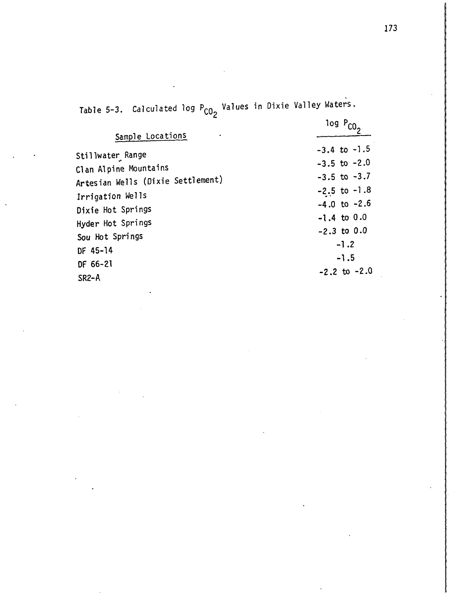Table 5-3. Calculated log P<sub>CO2</sub> Values in Dixie Valley Waters.

|                                   | $log P_{CO2}$    |
|-----------------------------------|------------------|
| Sample Locations                  |                  |
| Stillwater Range                  | $-3.4$ to $-1.5$ |
| Clan Alpine Mountains             | $-3.5$ to $-2.0$ |
| Artesian Wells (Dixie Settlement) | $-3.5$ to $-3.7$ |
| Irrigation Wells                  | $-2.5$ to $-1.8$ |
| Dixie Hot Springs                 | $-4.0$ to $-2.6$ |
| Hyder Hot Springs                 | $-1.4$ to 0.0    |
| Sou Hot Springs                   | $-2.3$ to $0.0$  |
| DF 45-14                          | $-1.2$           |
| DF 66-21                          | $-1.5$           |
| SR <sub>2</sub> -A                | $-2.2$ to $-2.0$ |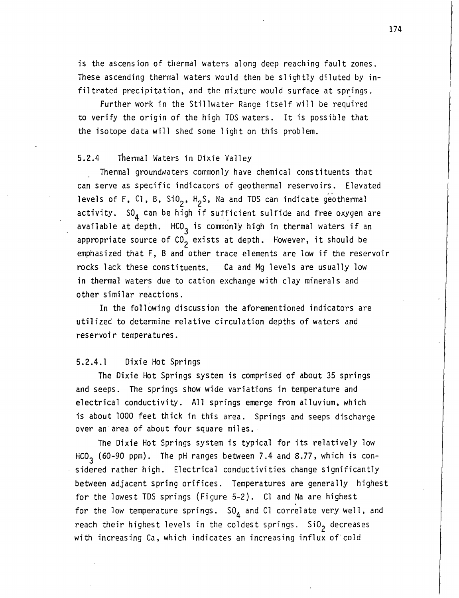is the ascension of thermal waters along deep reaching fault zones. These ascending thermal waters would then be slightly diluted by infiltrated precipitation, and the mixture would surface at springs.

Further work in the Stillwater Range itself will be required to verify the origin of the high TDS waters. It is possible that the isotope data will shed some light on this problem.

#### 5.2.4 thermal Waters in Dixie Valley

Thermal groundwaters commonly have chemical constituents that can serve as specific indicators of geothermal reservoirs. Elevated levels of F, Cl, B,  $\text{SiO}_2$ ,  $\text{H}_2$ S, Na and TDS can indicate geothermal activity.  $SO_4$  can be high if sufficient sulfide and free oxygen are available at depth.  $HCO<sub>3</sub>$  is commonly high in thermal waters if an appropriate source of  $CO_2$  exists at depth. However, it should be emphasized that F, B and other trace elements are low if the reservoir rocks lack these constituents. Ca and Mg levels are usually low in thermal waters due to cation exchange with clay minerals and other similar reactions.

In the following discussion the aforementioned indicators are utilized to determine relative circulation depths of waters and reservoir temperatures.

#### 5.2.4.1 Dixie Hot Springs

The Dixie Hot Springs system is comprised of about 35 springs and seeps. The springs show wide variations in temperature and electrical conductivity. All springs emerge from alluvium, which is about 1000 feet thick in this area. Springs and seeps discharge over an area of about four square miles.

The Dixie Hot Springs system is typical for its relatively low HCO<sub>3</sub> (60-90 ppm). The pH ranges between 7.4 and 8.77, which is considered rather high. Electrical conductivities change significantly between adjacent spring orifices. Temperatures are generally highest for the lowest TDS springs (Figure 5-2). Cl and Na are highest for the low temperature springs.  $SO_{\Lambda}$  and Cl correlate very well, and reach their highest levels in the coldest springs.  $SiO<sub>2</sub>$  decreases with increasing Ca, which indicates an increasing influx of cold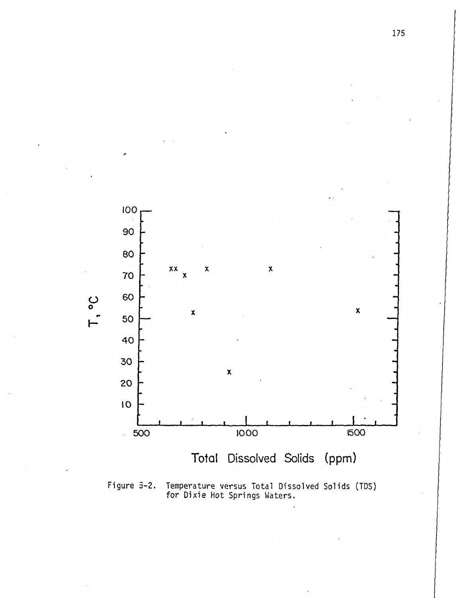

"

Figure 5-2. Temperature versus Total Dissolved Solids (TOS) for Dixie Hot Springs Waters.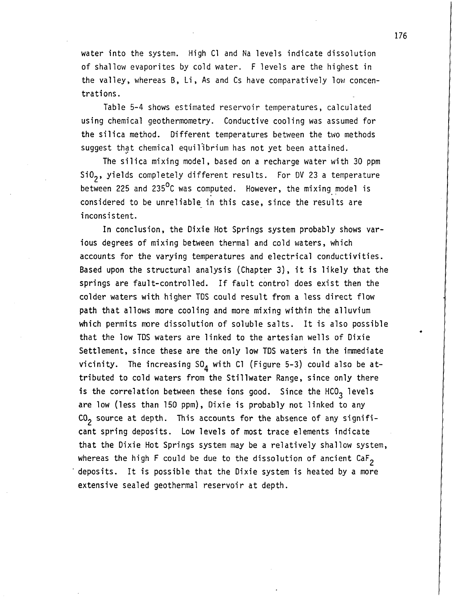water into the system. High Cl and Na levels indicate dissolution of shallow evaporites by cold water. F levels are the highest in the valley, whereas B, Li, As and Cs have comparatively low concentrations.

Table 5-4 shows estimated reservoir temperatures, calculated using chemical geothermometry. Conductive cooling was assumed for the silica method. Different temperatures between the two methods suggest that chemical equilibrium has not yet been attained.

The silica mixing model, based on a recharge water with 30 ppm SiO<sub>2</sub>, yields completely different results. For DV 23 a temperature between 225 and 235 $^{\circ}$ C was computed. However, the mixing model is considered to be unreliable in this case, since the results are inconsistent.

In conclusion, the Dixie Hot Springs system probably shows various degrees of mixing between thermal and cold waters, which accounts for the varying temperatures and electrical conductivities. Based upon the structural analysis (Chapter 3), it is likely that the springs are fault-controlled. If fault control does exist then the colder waters with higher TDS could result from a less direct flow path that allows more cooling and more mixing within the alluvium which permits more dissolution of soluble salts. It is also possible that the low TDS waters are linked to the artesian wells of Dixie Settlement, since these are the only low TDS waters in the immediate vicinity. The increasing  $SO_4$  with Cl (Figure 5-3) could also be attributed to cold waters from the Stillwater Range, since only there is the correlation between these ions good. Since the HCO<sub>3</sub> levels are low (less than 150 ppm), Dixie is probably not linked to any  $CO<sub>2</sub>$  source at depth. This accounts for the absence of any significant spring deposits. Low levels of most trace elements indicate that the Dixie Hot Springs system may be a relatively shallow system, whereas the high F could be due to the dissolution of ancient CaF<sub>2</sub> deposits. It is possible that the Dixie system is heated by a more extensive sealed geothermal reservoir at depth.

176

•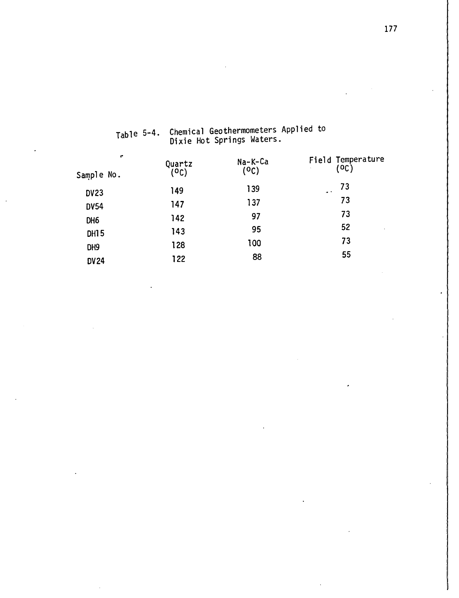| $\mathbf{r}$<br>Sample No. | Quartz<br>(°C) | Na-K-Ca<br>(0C) | Field Temperature<br>(OC) |
|----------------------------|----------------|-----------------|---------------------------|
| <b>DV23</b>                | 149            | 139             | 73<br>$\bullet$ .         |
| <b>DV54</b>                | 147            | 137             | 73                        |
| DH <sub>6</sub>            | 142            | 97              | 73                        |
| <b>DH15</b>                | 143            | 95              | 52<br>$\cdot$             |
| DH9                        | 128            | 100             | 73                        |
| <b>DV24</b>                | 122            | 88              | 55                        |
|                            |                |                 |                           |

Table 5-4. Chemical Geothermometers Applied to Dixie Hot Springs Waters .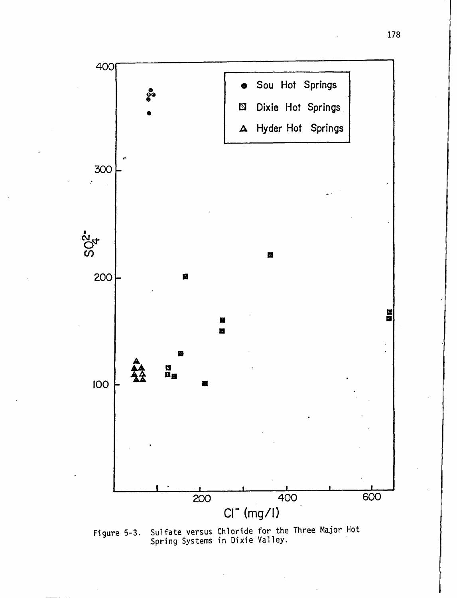

Sulfate versus Chloride for the Three Major Hot<br>Spring Systems in Dixie Valley. Figure 5-3.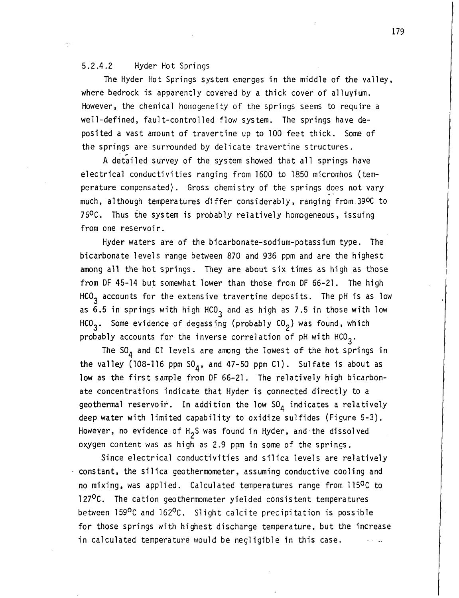#### 5.2.4.2 Hyder Hot Springs

The Hyder Hot Springs system emerges in the middle of the valley, where bedrock is apparently covered by a thick cover of alluvium. However, the chemical homogeneity of the springs seems to require a well-defined, fault-controlled flow system. The springs have deposited a vast amount of travertine up to 100 feet thick. Some of the springs are surrounded by delicate travertine structures.

A detailed survey of the system showed that all springs have electrical conductivities ranging from 1600 to 1850 micromhos (temperature compensated). Gross chemistry of the springs does not vary much, although temperatures differ considerably, ranging from.390C to 750C. Thus the system is probably relatively homogeneous, issuing from one reservoir.

Hyder waters are of the bicarbonate-sodium-potassium type. The bicarbonate levels range between 870 and 936 ppm and are the highest among all the hot springs. They are about six times as high as those from DF 45-14 but somewhat lower than those from OF 66-21. The high  $HCO<sub>3</sub>$  accounts for the extensive travertine deposits. The pH is as low as 6.5 in springs with high HCO<sub>3</sub> and as high as 7.5 in those with low  $HCO<sub>3</sub>$ . Some evidence of degassing (probably  $CO<sub>2</sub>$ ) was found, which probably accounts for the inverse correlation of pH with  $HCO_{3}$ .

The  $SO_{\Lambda}$  and Cl levels are among the lowest of the hot springs in the valley (108-116 ppm  $SO_4$ , and 47-50 ppm Cl). Sulfate is about as low as the first sample from OF 66-21. The relatively high bicarbonate concentrations indicate that Hyder is connected directly to a geothermal reservoir. In addition the low  $SO<sub>A</sub>$  indicates a relatively deep water with limited capability to oxidize sulfides (Figure 5-3). However, no evidence of H2 S was found in Hyder, and·the dissolved oxygen content was as high as 2.9 ppm in some of the springs.

Since electrical conductivities and silica levels are relatively constant, the silica geothermometer, assuming conductive cooling and no mixing, was applied. Calculated temperatures range from l150C to 127<sup>o</sup>C. The cation geothermometer yielded consistent temperatures between 159<sup>0</sup>C and 162<sup>0</sup>C. Slight calcite precipitation is possible for those springs with highest discharge temperature, but the increase in calculated temperature would be negligible in this case.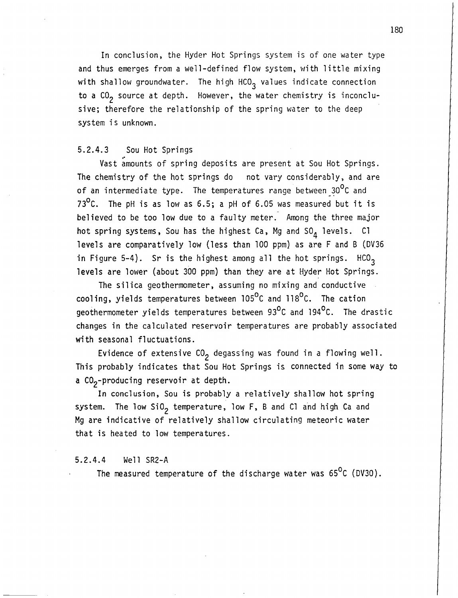In conclusion, the Hyder Hot Springs system is of one water type and thus emerges from a well-defined flow system, with little mixing with shallow groundwater. The high HCO<sub>3</sub> values indicate connection to a  $CO<sub>2</sub>$  source at depth. However, the water chemistry is inconclusive; therefore the relationship of the spring water to the deep system is unknown.

#### 5.2.4.3 Sou Hot Springs

Vast amounts of spring deposits are present at Sou Hot Springs. The chemistry of the hot springs do not vary considerably, and are of an intermediate type. The temperatures range between  $30^{\circ}$ C and 73<sup>o</sup>C. The pH is as low as 6.5; a pH of 6.05 was measured but it is believed to be too low due to a faulty meter. Among the three major hot spring systems, Sou has the highest Ca, Mg and  $SO<sub>A</sub>$  levels. Cl levels are comparatively low (less than 100 ppm) as are F and B (DV36 in Figure 5-4). Sr is the highest among all the hot springs.  $HCO<sub>3</sub>$ levels are lower (about 300 ppm) than they are at Hyder Hot Springs.

The silica geothermometer, assuming no mixing and conductive cooling, yields temperatures between 105°C and 118°C. The cation geothermometer yields temperatures between 93°C and 194°C. The drastic changes in the calculated reservoir temperatures are probably associated with seasonal fluctuations.

Evidence of extensive  $CO_2$  degassing was found in a flowing well. This probably indicates that Sou Hot Springs is connected in some way to a CO<sub>2</sub>-producing reservoir at depth.

In conclusion, Sou is probably a relatively shallow hot spring system. The low  $SiO<sub>2</sub>$  temperature, low F, B and Cl and high Ca and Mg are indicative of relatively shallow circulating meteoric water that is heated to low temperatures.

#### 5.2.4.4 Well SR2-A

The measured temperature of the discharge water was  $65^{\circ}$ C (DV30).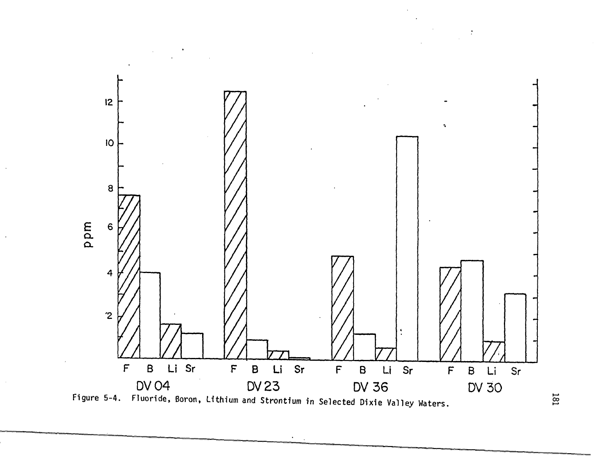



==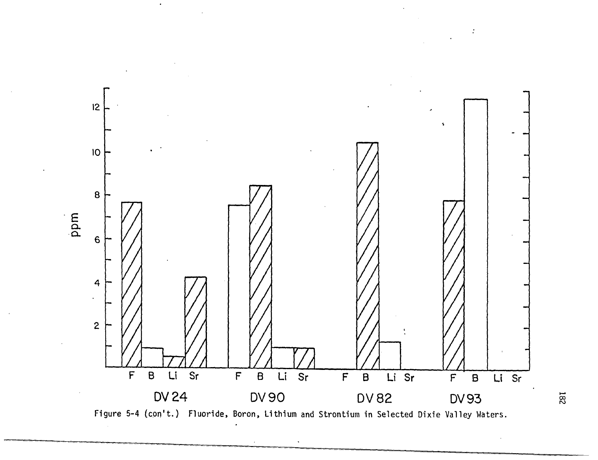

78<br>7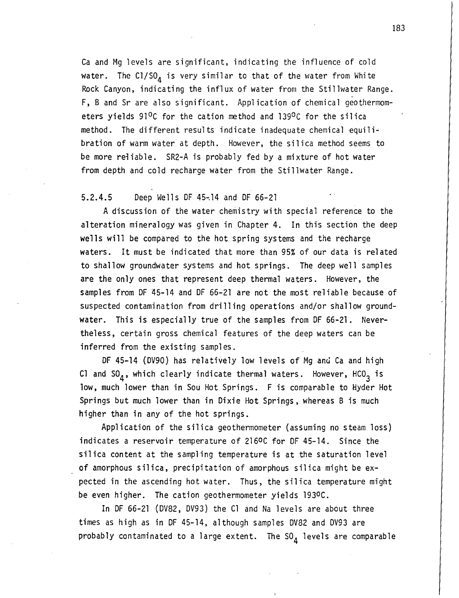Ca and Mg levels are significant, indicating the influence of cold water. The  $CI/SO<sub>A</sub>$  is very similar to that of the water from White Rock Canyon, indicating the influx of water from the Stillwater Range. F, Band Sr are also significant. Application of chemical geothermometers yields  $91^0C$  for the cation method and 139 $^0C$  for the silica method. The different results indicate inadequate chemical equilibration of warm water at depth. However, the silica method seems to be more re1iable. SR2-A is probably fed by a mixture of hot water from depth and cold recharge water from the Stillwater Range.

#### 5.2.4.5 Deep Wells OF 45~14 and OF 66-21

A discussion of the water chemistry with special reference to the alteration mineralogy was given in Chapter 4. In this section the deep wells will be compared to the hot spring systems and the recharge waters. It must be indicated that more than 95% of our data is related to shallow groundwater systems and hot springs. The deep well samples are the only ones that represent deep thermal waters. However, the samples from OF 45-14 and OF 66-21 are not the most reliable because of suspected contamination from drilling operations and/or shallow groundwater. This is especially true of the samples from OF 66-21. Nevertheless, certain gross chemical features of the deep waters can be inferred from the existing samples.

OF 45-14 (OV90) has relatively low levels of Mg and Ca and high Cl and SO<sub>A</sub>, which clearly indicate thermal waters. However, HCO<sub>3</sub> is low, much lower than in Sou Hot Springs. F is comparable to Hyder Hot Springs but much lower than in Dixie Hot Springs, whereas B is much higher than in any of the hot springs.

Application of the silica geothermometer (assuming no steam loss) indicates a reservoir temperature of 216ºC for DF 45-14. Since the silica content at the sampling temperature is at the saturation level of amorphous silica, precipitation of amorphous silica might be expected in the ascending hot water. Thus, the silica temperature might be even higher. The cation geothermometer yields 1930C.

In OF 66-21 (OV82, OV93) the Cl and Na levels are about three times as high as in OF 45-14, although samples OV82 and DV93 are probably contaminated to a large extent. The  $SO_{A}$  levels are comparable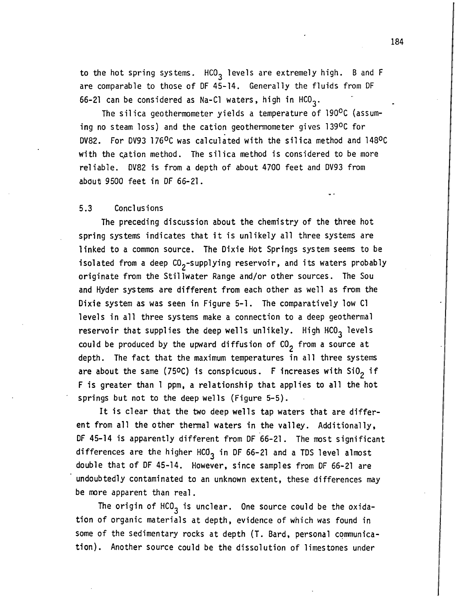to the hot spring systems.  $HCO<sub>3</sub>$  levels are extremely high. B and F are comparable to those of OF 45-14. Generally the fluids from OF 66-21 can be considered as Na-C1 waters, high in HCO<sub>3</sub>.

The silica geothermometer yields a temperature of 190°C (assuming no steam loss) and the cation geothermometer gives 1390C for OV82. For OV93 l760C was calculated with the silica method and 1480C with the cation method. The silica method is considered to be more reliable. OV82 is from a depth of about 4700 feet and OV93 from about 9500 feet in OF 66-21.

#### 5.3 Conclusions

The preceding discussion about the chemistry of the three hot spring systems indicates that it is unlikely all three systems are linked to a common source. The Dixie Hot Springs system seems to be isolated from a deep  $CO_2$ -supplying reservoir, and its waters probably originate from the Stillwater Range and/or other sources. The Sou and Hyder systems are different from each other as well as from the Dixie system as was seen in Figure 5-1. The comparatively low Cl levels in all three systems make a connection to a deep geothermal reservoir that supplies the deep wells unlikely. High  $HCO_{3}$  levels could be produced by the upward diffusion of  $CO<sub>2</sub>$  from a source at depth. The fact that the maximum temperatures in all three systems are about the same (750C) is conspicuous. F increases with  $SiO<sub>2</sub>$  if F is greater than 1 ppm, a relationship that applies to all the hot springs but not to the deep wells (Figure 5-5).

It is clear that the two deep wells tap waters that are different from all the other thermal waters in the valley. Additionally, OF 45-14 is apparently different from OF 66-21. The most significant differences are the higher HCO<sub>3</sub> in DF 66-21 and a TDS level almost double that of OF 45-14. However, since samples from OF 66-21 are undoubtedly contaminated to an unknown extent, these differences may be more apparent than real.

The origin of  $HCO<sub>3</sub>$  is unclear. One source could be the oxidation of organic materials at depth, evidence of which was found in some of the sedimentary rocks at depth (T. Bard, personal communication). Another source could be the dissolution of limestones under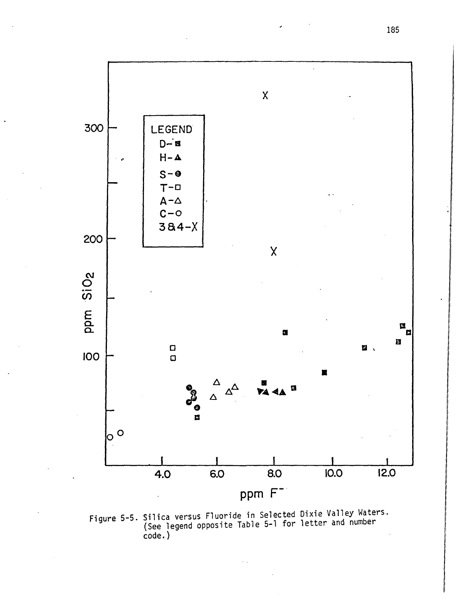

Figure 5-5. Silica versus Fluoride in Selected Dixie Valley Waters.<br>(See legend opposite Table 5-1 for letter and number  $code.)$